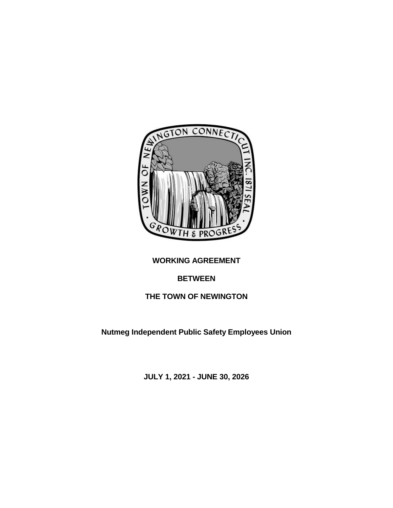

# **WORKING AGREEMENT**

# **BETWEEN**

# **THE TOWN OF NEWINGTON**

**Nutmeg Independent Public Safety Employees Union**

**JULY 1, 2021 - JUNE 30, 2026**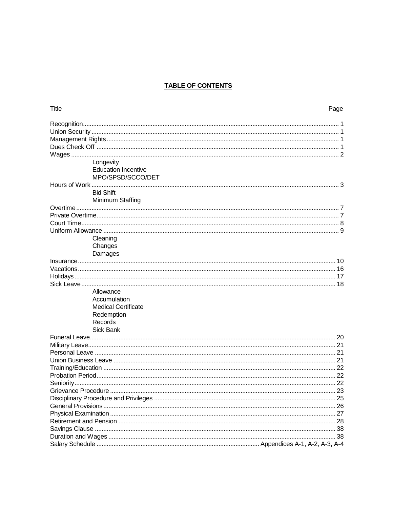## **TABLE OF CONTENTS**

| <b>Title</b>        |                            | Page |
|---------------------|----------------------------|------|
|                     |                            |      |
|                     |                            |      |
|                     |                            |      |
|                     |                            |      |
|                     | Longevity                  |      |
|                     | <b>Education Incentive</b> |      |
|                     | MPO/SPSD/SCCO/DET          |      |
|                     |                            |      |
|                     | <b>Bid Shift</b>           |      |
|                     | Minimum Staffing           |      |
|                     |                            |      |
|                     |                            |      |
|                     |                            |      |
|                     |                            |      |
|                     | Cleaning                   |      |
|                     | Changes                    |      |
|                     | Damages                    |      |
|                     |                            |      |
|                     |                            |      |
|                     |                            |      |
|                     |                            |      |
|                     | Allowance<br>Accumulation  |      |
|                     | <b>Medical Certificate</b> |      |
|                     | Redemption                 |      |
|                     | Records                    |      |
|                     | Sick Bank                  |      |
|                     |                            |      |
|                     |                            |      |
|                     |                            |      |
|                     |                            |      |
|                     |                            |      |
|                     |                            |      |
|                     |                            |      |
| Grievance Procedure |                            | 23   |
|                     |                            |      |
|                     |                            |      |
|                     |                            |      |
|                     |                            |      |
|                     |                            |      |
|                     |                            | 38   |
|                     |                            |      |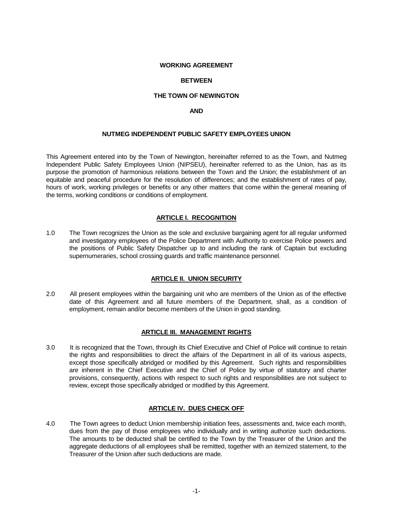#### **WORKING AGREEMENT**

#### **BETWEEN**

#### **THE TOWN OF NEWINGTON**

#### **AND**

#### **NUTMEG INDEPENDENT PUBLIC SAFETY EMPLOYEES UNION**

This Agreement entered into by the Town of Newington, hereinafter referred to as the Town, and Nutmeg Independent Public Safety Employees Union (NIPSEU), hereinafter referred to as the Union, has as its purpose the promotion of harmonious relations between the Town and the Union; the establishment of an equitable and peaceful procedure for the resolution of differences; and the establishment of rates of pay, hours of work, working privileges or benefits or any other matters that come within the general meaning of the terms, working conditions or conditions of employment.

## **ARTICLE I. RECOGNITION**

1.0 The Town recognizes the Union as the sole and exclusive bargaining agent for all regular uniformed and investigatory employees of the Police Department with Authority to exercise Police powers and the positions of Public Safety Dispatcher up to and including the rank of Captain but excluding supernumeraries, school crossing guards and traffic maintenance personnel.

### **ARTICLE II. UNION SECURITY**

2.0 All present employees within the bargaining unit who are members of the Union as of the effective date of this Agreement and all future members of the Department, shall, as a condition of employment, remain and/or become members of the Union in good standing.

#### **ARTICLE III. MANAGEMENT RIGHTS**

3.0 It is recognized that the Town, through its Chief Executive and Chief of Police will continue to retain the rights and responsibilities to direct the affairs of the Department in all of its various aspects, except those specifically abridged or modified by this Agreement. Such rights and responsibilities are inherent in the Chief Executive and the Chief of Police by virtue of statutory and charter provisions, consequently, actions with respect to such rights and responsibilities are not subject to review, except those specifically abridged or modified by this Agreement.

#### **ARTICLE IV. DUES CHECK OFF**

4.0 The Town agrees to deduct Union membership initiation fees, assessments and, twice each month, dues from the pay of those employees who individually and in writing authorize such deductions. The amounts to be deducted shall be certified to the Town by the Treasurer of the Union and the aggregate deductions of all employees shall be remitted, together with an itemized statement, to the Treasurer of the Union after such deductions are made.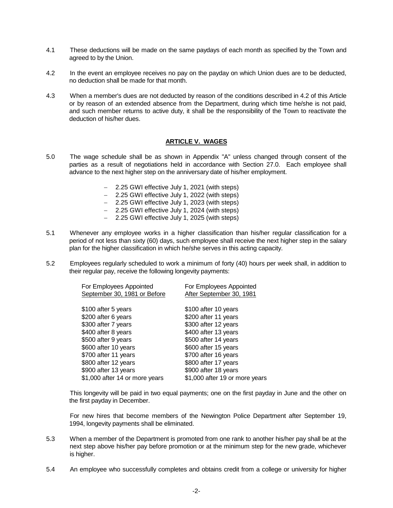- 4.1 These deductions will be made on the same paydays of each month as specified by the Town and agreed to by the Union.
- 4.2 In the event an employee receives no pay on the payday on which Union dues are to be deducted, no deduction shall be made for that month.
- 4.3 When a member's dues are not deducted by reason of the conditions described in 4.2 of this Article or by reason of an extended absence from the Department, during which time he/she is not paid, and such member returns to active duty, it shall be the responsibility of the Town to reactivate the deduction of his/her dues.

## **ARTICLE V. WAGES**

- 5.0 The wage schedule shall be as shown in Appendix "A" unless changed through consent of the parties as a result of negotiations held in accordance with Section 27.0. Each employee shall advance to the next higher step on the anniversary date of his/her employment.
	- − 2.25 GWI effective July 1, 2021 (with steps)
	- − 2.25 GWI effective July 1, 2022 (with steps)
	- − 2.25 GWI effective July 1, 2023 (with steps)
	- − 2.25 GWI effective July 1, 2024 (with steps)
	- − 2.25 GWI effective July 1, 2025 (with steps)
- 5.1 Whenever any employee works in a higher classification than his/her regular classification for a period of not less than sixty (60) days, such employee shall receive the next higher step in the salary plan for the higher classification in which he/she serves in this acting capacity.
- 5.2 Employees regularly scheduled to work a minimum of forty (40) hours per week shall, in addition to their regular pay, receive the following longevity payments:

| For Employees Appointed        | For Employees Appointed        |
|--------------------------------|--------------------------------|
| September 30, 1981 or Before   | After September 30, 1981       |
|                                |                                |
| \$100 after 5 years            | \$100 after 10 years           |
| \$200 after 6 years            | \$200 after 11 years           |
| \$300 after 7 years            | \$300 after 12 years           |
| \$400 after 8 years            | \$400 after 13 years           |
| \$500 after 9 years            | \$500 after 14 years           |
| \$600 after 10 years           | \$600 after 15 years           |
| \$700 after 11 years           | \$700 after 16 years           |
| \$800 after 12 years           | \$800 after 17 years           |
| \$900 after 13 years           | \$900 after 18 years           |
| \$1,000 after 14 or more years | \$1,000 after 19 or more years |

This longevity will be paid in two equal payments; one on the first payday in June and the other on the first payday in December.

For new hires that become members of the Newington Police Department after September 19, 1994, longevity payments shall be eliminated.

- 5.3 When a member of the Department is promoted from one rank to another his/her pay shall be at the next step above his/her pay before promotion or at the minimum step for the new grade, whichever is higher.
- 5.4 An employee who successfully completes and obtains credit from a college or university for higher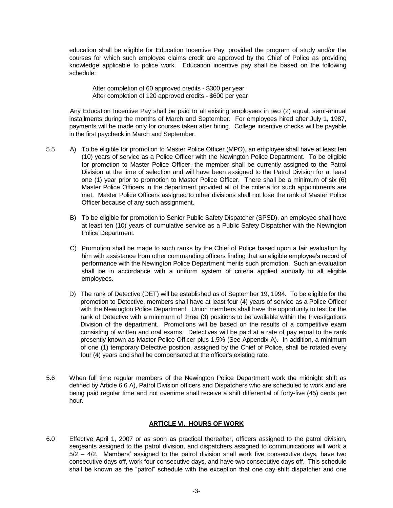education shall be eligible for Education Incentive Pay, provided the program of study and/or the courses for which such employee claims credit are approved by the Chief of Police as providing knowledge applicable to police work. Education incentive pay shall be based on the following schedule:

After completion of 60 approved credits - \$300 per year After completion of 120 approved credits - \$600 per year

Any Education Incentive Pay shall be paid to all existing employees in two (2) equal, semi-annual installments during the months of March and September. For employees hired after July 1, 1987, payments will be made only for courses taken after hiring. College incentive checks will be payable in the first paycheck in March and September.

- 5.5 A) To be eligible for promotion to Master Police Officer (MPO), an employee shall have at least ten (10) years of service as a Police Officer with the Newington Police Department. To be eligible for promotion to Master Police Officer, the member shall be currently assigned to the Patrol Division at the time of selection and will have been assigned to the Patrol Division for at least one (1) year prior to promotion to Master Police Officer. There shall be a minimum of six (6) Master Police Officers in the department provided all of the criteria for such appointments are met. Master Police Officers assigned to other divisions shall not lose the rank of Master Police Officer because of any such assignment.
	- B) To be eligible for promotion to Senior Public Safety Dispatcher (SPSD), an employee shall have at least ten (10) years of cumulative service as a Public Safety Dispatcher with the Newington Police Department.
	- C) Promotion shall be made to such ranks by the Chief of Police based upon a fair evaluation by him with assistance from other commanding officers finding that an eligible employee's record of performance with the Newington Police Department merits such promotion. Such an evaluation shall be in accordance with a uniform system of criteria applied annually to all eligible employees.
	- D) The rank of Detective (DET) will be established as of September 19, 1994. To be eligible for the promotion to Detective, members shall have at least four (4) years of service as a Police Officer with the Newington Police Department. Union members shall have the opportunity to test for the rank of Detective with a minimum of three (3) positions to be available within the Investigations Division of the department. Promotions will be based on the results of a competitive exam consisting of written and oral exams. Detectives will be paid at a rate of pay equal to the rank presently known as Master Police Officer plus 1.5% (See Appendix A). In addition, a minimum of one (1) temporary Detective position, assigned by the Chief of Police, shall be rotated every four (4) years and shall be compensated at the officer's existing rate.
- 5.6 When full time regular members of the Newington Police Department work the midnight shift as defined by Article 6.6 A), Patrol Division officers and Dispatchers who are scheduled to work and are being paid regular time and not overtime shall receive a shift differential of forty-five (45) cents per hour.

## **ARTICLE VI. HOURS OF WORK**

6.0 Effective April 1, 2007 or as soon as practical thereafter, officers assigned to the patrol division, sergeants assigned to the patrol division, and dispatchers assigned to communications will work a  $5/2 - 4/2$ . Members' assigned to the patrol division shall work five consecutive days, have two consecutive days off, work four consecutive days, and have two consecutive days off. This schedule shall be known as the "patrol" schedule with the exception that one day shift dispatcher and one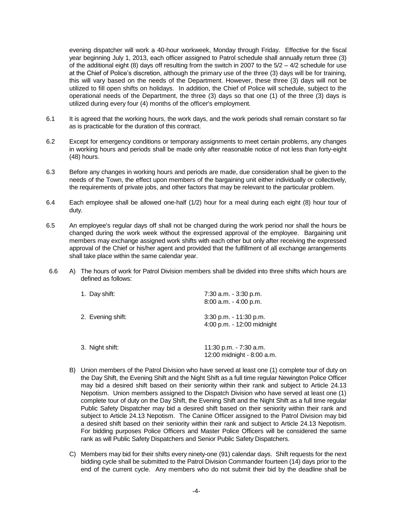evening dispatcher will work a 40-hour workweek, Monday through Friday. Effective for the fiscal year beginning July 1, 2013, each officer assigned to Patrol schedule shall annually return three (3) of the additional eight (8) days off resulting from the switch in 2007 to the  $5/2 - 4/2$  schedule for use at the Chief of Police's discretion, although the primary use of the three (3) days will be for training, this will vary based on the needs of the Department. However, these three (3) days will not be utilized to fill open shifts on holidays. In addition, the Chief of Police will schedule, subject to the operational needs of the Department, the three (3) days so that one (1) of the three (3) days is utilized during every four (4) months of the officer's employment.

- 6.1 It is agreed that the working hours, the work days, and the work periods shall remain constant so far as is practicable for the duration of this contract.
- 6.2 Except for emergency conditions or temporary assignments to meet certain problems, any changes in working hours and periods shall be made only after reasonable notice of not less than forty-eight (48) hours.
- 6.3 Before any changes in working hours and periods are made, due consideration shall be given to the needs of the Town, the effect upon members of the bargaining unit either individually or collectively, the requirements of private jobs, and other factors that may be relevant to the particular problem.
- 6.4 Each employee shall be allowed one-half (1/2) hour for a meal during each eight (8) hour tour of duty.
- 6.5 An employee's regular days off shall not be changed during the work period nor shall the hours be changed during the work week without the expressed approval of the employee. Bargaining unit members may exchange assigned work shifts with each other but only after receiving the expressed approval of the Chief or his/her agent and provided that the fulfillment of all exchange arrangements shall take place within the same calendar year.
- 6.6 A) The hours of work for Patrol Division members shall be divided into three shifts which hours are defined as follows:

| 1. Day shift:     | 7:30 a.m. - 3:30 p.m.<br>$8:00$ a.m. $-4:00$ p.m.    |
|-------------------|------------------------------------------------------|
| 2. Evening shift: | 3:30 p.m. - 11:30 p.m.<br>4:00 p.m. - 12:00 midnight |
| 3. Night shift:   | 11:30 p.m. - 7:30 a.m.<br>12:00 midnight - 8:00 a.m. |

- B) Union members of the Patrol Division who have served at least one (1) complete tour of duty on the Day Shift, the Evening Shift and the Night Shift as a full time regular Newington Police Officer may bid a desired shift based on their seniority within their rank and subject to Article 24.13 Nepotism. Union members assigned to the Dispatch Division who have served at least one (1) complete tour of duty on the Day Shift, the Evening Shift and the Night Shift as a full time regular Public Safety Dispatcher may bid a desired shift based on their seniority within their rank and subject to Article 24.13 Nepotism. The Canine Officer assigned to the Patrol Division may bid a desired shift based on their seniority within their rank and subject to Article 24.13 Nepotism. For bidding purposes Police Officers and Master Police Officers will be considered the same rank as will Public Safety Dispatchers and Senior Public Safety Dispatchers.
- C) Members may bid for their shifts every ninety-one (91) calendar days. Shift requests for the next bidding cycle shall be submitted to the Patrol Division Commander fourteen (14) days prior to the end of the current cycle. Any members who do not submit their bid by the deadline shall be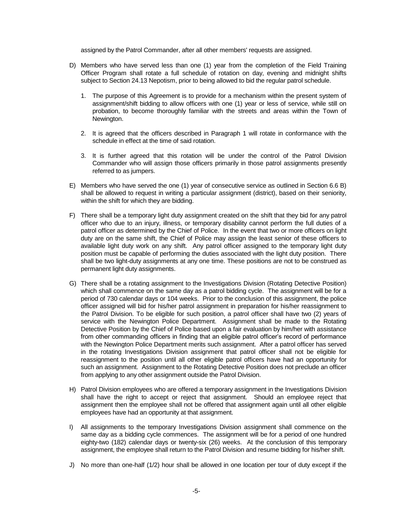assigned by the Patrol Commander, after all other members' requests are assigned.

- D) Members who have served less than one (1) year from the completion of the Field Training Officer Program shall rotate a full schedule of rotation on day, evening and midnight shifts subject to Section 24.13 Nepotism, prior to being allowed to bid the regular patrol schedule.
	- 1. The purpose of this Agreement is to provide for a mechanism within the present system of assignment/shift bidding to allow officers with one (1) year or less of service, while still on probation, to become thoroughly familiar with the streets and areas within the Town of Newington.
	- 2. It is agreed that the officers described in Paragraph 1 will rotate in conformance with the schedule in effect at the time of said rotation.
	- 3. It is further agreed that this rotation will be under the control of the Patrol Division Commander who will assign those officers primarily in those patrol assignments presently referred to as jumpers.
- E) Members who have served the one (1) year of consecutive service as outlined in Section 6.6 B) shall be allowed to request in writing a particular assignment (district), based on their seniority, within the shift for which they are bidding.
- F) There shall be a temporary light duty assignment created on the shift that they bid for any patrol officer who due to an injury, illness, or temporary disability cannot perform the full duties of a patrol officer as determined by the Chief of Police. In the event that two or more officers on light duty are on the same shift, the Chief of Police may assign the least senior of these officers to available light duty work on any shift. Any patrol officer assigned to the temporary light duty position must be capable of performing the duties associated with the light duty position. There shall be two light-duty assignments at any one time. These positions are not to be construed as permanent light duty assignments.
- G) There shall be a rotating assignment to the Investigations Division (Rotating Detective Position) which shall commence on the same day as a patrol bidding cycle. The assignment will be for a period of 730 calendar days or 104 weeks. Prior to the conclusion of this assignment, the police officer assigned will bid for his/her patrol assignment in preparation for his/her reassignment to the Patrol Division. To be eligible for such position, a patrol officer shall have two (2) years of service with the Newington Police Department. Assignment shall be made to the Rotating Detective Position by the Chief of Police based upon a fair evaluation by him/her with assistance from other commanding officers in finding that an eligible patrol officer's record of performance with the Newington Police Department merits such assignment. After a patrol officer has served in the rotating Investigations Division assignment that patrol officer shall not be eligible for reassignment to the position until all other eligible patrol officers have had an opportunity for such an assignment. Assignment to the Rotating Detective Position does not preclude an officer from applying to any other assignment outside the Patrol Division.
- H) Patrol Division employees who are offered a temporary assignment in the Investigations Division shall have the right to accept or reject that assignment. Should an employee reject that assignment then the employee shall not be offered that assignment again until all other eligible employees have had an opportunity at that assignment.
- I) All assignments to the temporary Investigations Division assignment shall commence on the same day as a bidding cycle commences. The assignment will be for a period of one hundred eighty-two (182) calendar days or twenty-six (26) weeks. At the conclusion of this temporary assignment, the employee shall return to the Patrol Division and resume bidding for his/her shift.
- J) No more than one-half (1/2) hour shall be allowed in one location per tour of duty except if the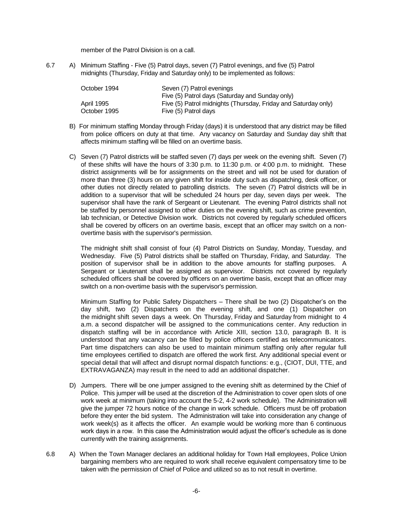member of the Patrol Division is on a call.

6.7 A) Minimum Staffing - Five (5) Patrol days, seven (7) Patrol evenings, and five (5) Patrol midnights (Thursday, Friday and Saturday only) to be implemented as follows:

| October 1994 | Seven (7) Patrol evenings                                      |
|--------------|----------------------------------------------------------------|
|              | Five (5) Patrol days (Saturday and Sunday only)                |
| April 1995   | Five (5) Patrol midnights (Thursday, Friday and Saturday only) |
| October 1995 | Five (5) Patrol days                                           |

- B) For minimum staffing Monday through Friday (days) it is understood that any district may be filled from police officers on duty at that time. Any vacancy on Saturday and Sunday day shift that affects minimum staffing will be filled on an overtime basis.
- C) Seven (7) Patrol districts will be staffed seven (7) days per week on the evening shift. Seven (7) of these shifts will have the hours of 3:30 p.m. to 11:30 p.m. or 4:00 p.m. to midnight. These district assignments will be for assignments on the street and will not be used for duration of more than three (3) hours on any given shift for inside duty such as dispatching, desk officer, or other duties not directly related to patrolling districts. The seven (7) Patrol districts will be in addition to a supervisor that will be scheduled 24 hours per day, seven days per week. The supervisor shall have the rank of Sergeant or Lieutenant. The evening Patrol districts shall not be staffed by personnel assigned to other duties on the evening shift, such as crime prevention, lab technician, or Detective Division work. Districts not covered by regularly scheduled officers shall be covered by officers on an overtime basis, except that an officer may switch on a nonovertime basis with the supervisor's permission.

The midnight shift shall consist of four (4) Patrol Districts on Sunday, Monday, Tuesday, and Wednesday. Five (5) Patrol districts shall be staffed on Thursday, Friday, and Saturday. The position of supervisor shall be in addition to the above amounts for staffing purposes. A Sergeant or Lieutenant shall be assigned as supervisor. Districts not covered by regularly scheduled officers shall be covered by officers on an overtime basis, except that an officer may switch on a non-overtime basis with the supervisor's permission.

Minimum Staffing for Public Safety Dispatchers – There shall be two (2) Dispatcher's on the day shift, two (2) Dispatchers on the evening shift, and one (1) Dispatcher on the midnight shift seven days a week. On Thursday, Friday and Saturday from midnight to 4 a.m. a second dispatcher will be assigned to the communications center. Any reduction in dispatch staffing will be in accordance with Article XIII, section 13.0, paragraph B. It is understood that any vacancy can be filled by police officers certified as telecommunicators. Part time dispatchers can also be used to maintain minimum staffing only after regular full time employees certified to dispatch are offered the work first. Any additional special event or special detail that will affect and disrupt normal dispatch functions: e.g., (CIOT, DUI, TTE, and EXTRAVAGANZA) may result in the need to add an additional dispatcher.

- D) Jumpers. There will be one jumper assigned to the evening shift as determined by the Chief of Police. This jumper will be used at the discretion of the Administration to cover open slots of one work week at minimum (taking into account the 5-2, 4-2 work schedule). The Administration will give the jumper 72 hours notice of the change in work schedule. Officers must be off probation before they enter the bid system. The Administration will take into consideration any change of work week(s) as it affects the officer. An example would be working more than 6 continuous work days in a row. In this case the Administration would adjust the officer's schedule as is done currently with the training assignments.
- 6.8 A) When the Town Manager declares an additional holiday for Town Hall employees, Police Union bargaining members who are required to work shall receive equivalent compensatory time to be taken with the permission of Chief of Police and utilized so as to not result in overtime.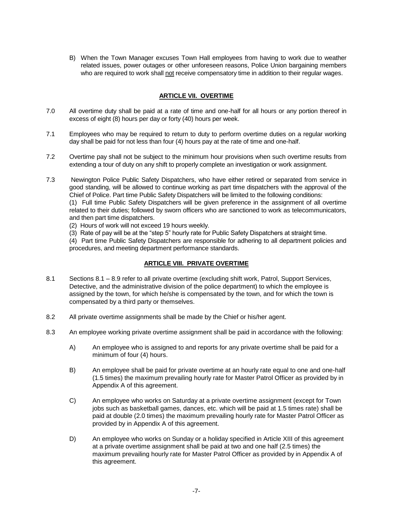B) When the Town Manager excuses Town Hall employees from having to work due to weather related issues, power outages or other unforeseen reasons, Police Union bargaining members who are required to work shall not receive compensatory time in addition to their regular wages.

## **ARTICLE VII. OVERTIME**

- 7.0 All overtime duty shall be paid at a rate of time and one-half for all hours or any portion thereof in excess of eight (8) hours per day or forty (40) hours per week.
- 7.1 Employees who may be required to return to duty to perform overtime duties on a regular working day shall be paid for not less than four (4) hours pay at the rate of time and one-half.
- 7.2 Overtime pay shall not be subject to the minimum hour provisions when such overtime results from extending a tour of duty on any shift to properly complete an investigation or work assignment.
- 7.3 Newington Police Public Safety Dispatchers, who have either retired or separated from service in good standing, will be allowed to continue working as part time dispatchers with the approval of the Chief of Police. Part time Public Safety Dispatchers will be limited to the following conditions:

(1) Full time Public Safety Dispatchers will be given preference in the assignment of all overtime related to their duties; followed by sworn officers who are sanctioned to work as telecommunicators, and then part time dispatchers.

- (2) Hours of work will not exceed 19 hours weekly.
- (3) Rate of pay will be at the "step 5" hourly rate for Public Safety Dispatchers at straight time.

(4) Part time Public Safety Dispatchers are responsible for adhering to all department policies and procedures, and meeting department performance standards.

## **ARTICLE VIII. PRIVATE OVERTIME**

- 8.1 Sections 8.1 8.9 refer to all private overtime (excluding shift work, Patrol, Support Services, Detective, and the administrative division of the police department) to which the employee is assigned by the town, for which he/she is compensated by the town, and for which the town is compensated by a third party or themselves.
- 8.2 All private overtime assignments shall be made by the Chief or his/her agent.
- 8.3 An employee working private overtime assignment shall be paid in accordance with the following:
	- A) An employee who is assigned to and reports for any private overtime shall be paid for a minimum of four (4) hours.
	- B) An employee shall be paid for private overtime at an hourly rate equal to one and one-half (1.5 times) the maximum prevailing hourly rate for Master Patrol Officer as provided by in Appendix A of this agreement.
	- C) An employee who works on Saturday at a private overtime assignment (except for Town jobs such as basketball games, dances, etc. which will be paid at 1.5 times rate) shall be paid at double (2.0 times) the maximum prevailing hourly rate for Master Patrol Officer as provided by in Appendix A of this agreement.
	- D) An employee who works on Sunday or a holiday specified in Article XIII of this agreement at a private overtime assignment shall be paid at two and one half (2.5 times) the maximum prevailing hourly rate for Master Patrol Officer as provided by in Appendix A of this agreement.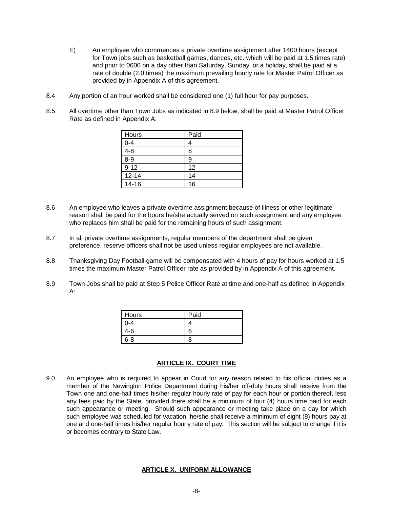- E) An employee who commences a private overtime assignment after 1400 hours (except for Town jobs such as basketball games, dances, etc. which will be paid at 1.5 times rate) and prior to 0600 on a day other than Saturday, Sunday, or a holiday, shall be paid at a rate of double (2.0 times) the maximum prevailing hourly rate for Master Patrol Officer as provided by in Appendix A of this agreement.
- 8.4 Any portion of an hour worked shall be considered one (1) full hour for pay purposes.
- 8.5 All overtime other than Town Jobs as indicated in 8.9 below, shall be paid at Master Patrol Officer Rate as defined in Appendix A:

| Hours     | Paid |
|-----------|------|
| $0 - 4$   |      |
| $4 - 8$   | Я    |
| $8 - 9$   |      |
| $9 - 12$  | 12   |
| $12 - 14$ | 14   |
| $14 - 16$ | 16   |

- 8.6 An employee who leaves a private overtime assignment because of illness or other legitimate reason shall be paid for the hours he/she actually served on such assignment and any employee who replaces him shall be paid for the remaining hours of such assignment.
- 8.7 In all private overtime assignments, regular members of the department shall be given preference, reserve officers shall not be used unless regular employees are not available.
- 8.8 Thanksgiving Day Football game will be compensated with 4 hours of pay for hours worked at 1.5 times the maximum Master Patrol Officer rate as provided by in Appendix A of this agreement.
- 8.9 Town Jobs shall be paid at Step 5 Police Officer Rate at time and one-half as defined in Appendix A:

| Hours | Paid |
|-------|------|
|       |      |
| .-ค   |      |
| ิ ค-ล |      |

#### **ARTICLE IX. COURT TIME**

9.0 An employee who is required to appear in Court for any reason related to his official duties as a member of the Newington Police Department during his/her off-duty hours shall receive from the Town one and one-half times his/her regular hourly rate of pay for each hour or portion thereof, less any fees paid by the State, provided there shall be a minimum of four (4) hours time paid for each such appearance or meeting. Should such appearance or meeting take place on a day for which such employee was scheduled for vacation, he/she shall receive a minimum of eight (8) hours pay at one and one-half times his/her regular hourly rate of pay. This section will be subject to change if it is or becomes contrary to State Law.

#### **ARTICLE X. UNIFORM ALLOWANCE**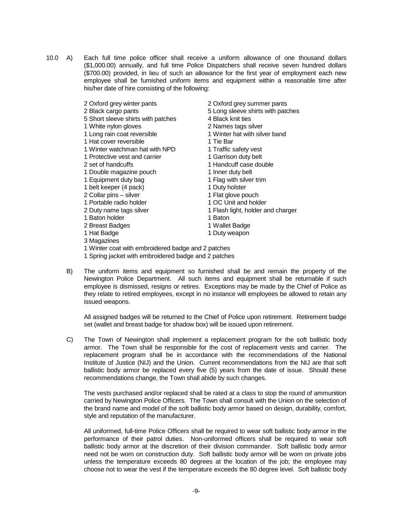- 10.0 A) Each full time police officer shall receive a uniform allowance of one thousand dollars (\$1,000.00) annually, and full time Police Dispatchers shall receive seven hundred dollars (\$700.00) provided, in lieu of such an allowance for the first year of employment each new employee shall be furnished uniform items and equipment within a reasonable time after his/her date of hire consisting of the following:
	-
	-
	- 5 Short sleeve shirts with patches 4 Black knit ties
	- 1 White nylon gloves 2 Names tags silver
	-
	- 1 Hat cover reversible 1 Tie Bar
	- 1 Winter watchman hat with NPD 1 Traffic safety vest
	- 1 Protective vest and carrier 1 Garrison duty belt
	-
	- 1 Double magazine pouch 1 Inner duty belt
	-
	- 1 belt keeper (4 pack) 1 Duty holster
	- 2 Collar pins silver 1 Flat glove pouch
	- 1 Portable radio holder 1 OC Unit and holder
	-
	- 1 Baton holder 1 Baton
	- 2 Breast Badges 1 Wallet Badge
	-
	- 3 Magazines
- 2 Oxford grey winter pants 2 Oxford grey summer pants
- 2 Black cargo pants 5 Long sleeve shirts with patches
	-
	-
- 1 Long rain coat reversible 1 Winter hat with silver band
	-
	-
	-
- 2 set of handcuffs 1 Handcuff case double
	-
- 1 Equipment duty bag 1 Flag with silver trim
	-
	-
	-
- 2 Duty name tags silver 1 Flash light, holder and charger
	-
	-
- 1 Hat Badge 1 Duty weapon
- 1 Winter coat with embroidered badge and 2 patches
- 1 Spring jacket with embroidered badge and 2 patches
- B) The uniform items and equipment so furnished shall be and remain the property of the Newington Police Department. All such items and equipment shall be returnable if such employee is dismissed, resigns or retires. Exceptions may be made by the Chief of Police as they relate to retired employees, except in no instance will employees be allowed to retain any issued weapons.

All assigned badges will be returned to the Chief of Police upon retirement. Retirement badge set (wallet and breast badge for shadow box) will be issued upon retirement.

C) The Town of Newington shall implement a replacement program for the soft ballistic body armor. The Town shall be responsible for the cost of replacement vests and carrier. The replacement program shall be in accordance with the recommendations of the National Institute of Justice (NIJ) and the Union. Current recommendations from the NIJ are that soft ballistic body armor be replaced every five (5) years from the date of issue. Should these recommendations change, the Town shall abide by such changes.

The vests purchased and/or replaced shall be rated at a class to stop the round of ammunition carried by Newington Police Officers. The Town shall consult with the Union on the selection of the brand name and model of the soft ballistic body armor based on design, durability, comfort, style and reputation of the manufacturer.

All uniformed, full-time Police Officers shall be required to wear soft ballistic body armor in the performance of their patrol duties. Non-uniformed officers shall be required to wear soft ballistic body armor at the discretion of their division commander. Soft ballistic body armor need not be worn on construction duty. Soft ballistic body armor will be worn on private jobs unless the temperature exceeds 80 degrees at the location of the job; the employee may choose not to wear the vest if the temperature exceeds the 80 degree level. Soft ballistic body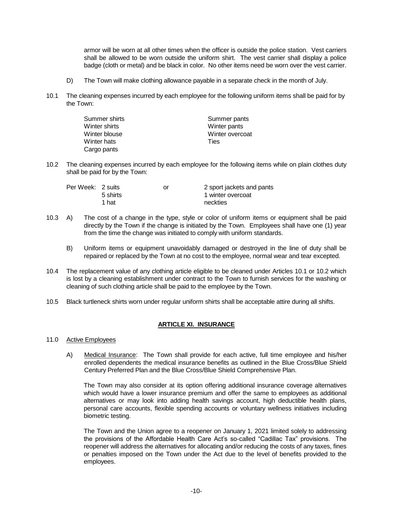armor will be worn at all other times when the officer is outside the police station. Vest carriers shall be allowed to be worn outside the uniform shirt. The vest carrier shall display a police badge (cloth or metal) and be black in color. No other items need be worn over the vest carrier.

- D) The Town will make clothing allowance payable in a separate check in the month of July.
- 10.1 The cleaning expenses incurred by each employee for the following uniform items shall be paid for by the Town:

| Summer shirts | Summer pants    |
|---------------|-----------------|
| Winter shirts | Winter pants    |
| Winter blouse | Winter overcoat |
| Winter hats   | <b>Ties</b>     |
| Cargo pants   |                 |

10.2 The cleaning expenses incurred by each employee for the following items while on plain clothes duty shall be paid for by the Town:

| Per Week: 2 suits |          | or | 2 sport jackets and pants |
|-------------------|----------|----|---------------------------|
|                   | 5 shirts |    | 1 winter overcoat         |
|                   | 1 hat    |    | neckties                  |

- 10.3 A) The cost of a change in the type, style or color of uniform items or equipment shall be paid directly by the Town if the change is initiated by the Town. Employees shall have one (1) year from the time the change was initiated to comply with uniform standards.
	- B) Uniform items or equipment unavoidably damaged or destroyed in the line of duty shall be repaired or replaced by the Town at no cost to the employee, normal wear and tear excepted.
- 10.4 The replacement value of any clothing article eligible to be cleaned under Articles 10.1 or 10.2 which is lost by a cleaning establishment under contract to the Town to furnish services for the washing or cleaning of such clothing article shall be paid to the employee by the Town.
- 10.5 Black turtleneck shirts worn under regular uniform shirts shall be acceptable attire during all shifts.

## **ARTICLE XI. INSURANCE**

- 11.0 Active Employees
	- A) Medical Insurance: The Town shall provide for each active, full time employee and his/her enrolled dependents the medical insurance benefits as outlined in the Blue Cross/Blue Shield Century Preferred Plan and the Blue Cross/Blue Shield Comprehensive Plan.

The Town may also consider at its option offering additional insurance coverage alternatives which would have a lower insurance premium and offer the same to employees as additional alternatives or may look into adding health savings account, high deductible health plans, personal care accounts, flexible spending accounts or voluntary wellness initiatives including biometric testing.

The Town and the Union agree to a reopener on January 1, 2021 limited solely to addressing the provisions of the Affordable Health Care Act's so-called "Cadillac Tax" provisions. The reopener will address the alternatives for allocating and/or reducing the costs of any taxes, fines or penalties imposed on the Town under the Act due to the level of benefits provided to the employees.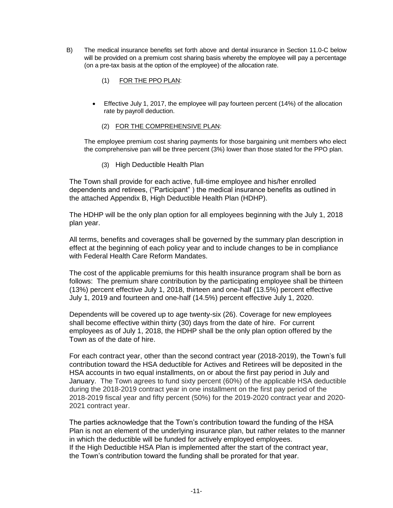- B) The medical insurance benefits set forth above and dental insurance in Section 11.0-C below will be provided on a premium cost sharing basis whereby the employee will pay a percentage (on a pre-tax basis at the option of the employee) of the allocation rate.
	- (1) FOR THE PPO PLAN:
	- Effective July 1, 2017, the employee will pay fourteen percent (14%) of the allocation rate by payroll deduction.
		- (2) FOR THE COMPREHENSIVE PLAN:

The employee premium cost sharing payments for those bargaining unit members who elect the comprehensive pan will be three percent (3%) lower than those stated for the PPO plan.

(3) High Deductible Health Plan

The Town shall provide for each active, full-time employee and his/her enrolled dependents and retirees, ("Participant" ) the medical insurance benefits as outlined in the attached Appendix B, High Deductible Health Plan (HDHP).

The HDHP will be the only plan option for all employees beginning with the July 1, 2018 plan year.

All terms, benefits and coverages shall be governed by the summary plan description in effect at the beginning of each policy year and to include changes to be in compliance with Federal Health Care Reform Mandates.

The cost of the applicable premiums for this health insurance program shall be born as follows: The premium share contribution by the participating employee shall be thirteen (13%) percent effective July 1, 2018, thirteen and one-half (13.5%) percent effective July 1, 2019 and fourteen and one-half (14.5%) percent effective July 1, 2020.

Dependents will be covered up to age twenty-six (26). Coverage for new employees shall become effective within thirty (30) days from the date of hire. For current employees as of July 1, 2018, the HDHP shall be the only plan option offered by the Town as of the date of hire.

For each contract year, other than the second contract year (2018-2019), the Town's full contribution toward the HSA deductible for Actives and Retirees will be deposited in the HSA accounts in two equal installments, on or about the first pay period in July and January. The Town agrees to fund sixty percent (60%) of the applicable HSA deductible during the 2018-2019 contract year in one installment on the first pay period of the 2018-2019 fiscal year and fifty percent (50%) for the 2019-2020 contract year and 2020- 2021 contract year.

The parties acknowledge that the Town's contribution toward the funding of the HSA Plan is not an element of the underlying insurance plan, but rather relates to the manner in which the deductible will be funded for actively employed employees. If the High Deductible HSA Plan is implemented after the start of the contract year, the Town's contribution toward the funding shall be prorated for that year.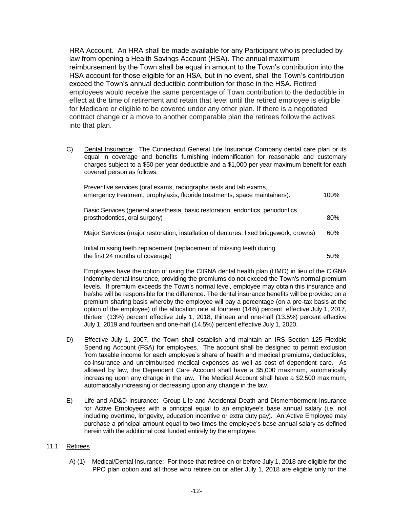HRA Account. An HRA shall be made available for any Participant who is precluded by law from opening a Health Savings Account (HSA). The annual maximum reimbursement by the Town shall be equal in amount to the Town's contribution into the HSA account for those eligible for an HSA, but in no event, shall the Town's contribution exceed the Town's annual deductible contribution for those in the HSA. Retired employees would receive the same percentage of Town contribution to the deductible in effect at the time of retirement and retain that level until the retired employee is eligible for Medicare or eligible to be covered under any other plan. If there is a negotiated contract change or a move to another comparable plan the retirees follow the actives into that plan.

C) Dental Insurance: The Connecticut General Life Insurance Company dental care plan or its equal in coverage and benefits furnishing indemnification for reasonable and customary charges subject to a \$50 per year deductible and a \$1,000 per year maximum benefit for each covered person as follows:

Preventive services (oral exams, radiographs tests and lab exams, emergency treatment, prophylaxis, fluoride treatments, space maintainers). 100% Basic Services (general anesthesia, basic restoration, endontics, periodontics, prosthodontics, oral surgery) 80% Major Services (major restoration, installation of dentures, fixed bridgework, crowns) 60% Initial missing teeth replacement (replacement of missing teeth during

the first 24 months of coverage) 50%

Employees have the option of using the CIGNA dental health plan (HMO) in lieu of the CIGNA indemnity dental insurance, providing the premiums do not exceed the Town's normal premium levels. If premium exceeds the Town's normal level, employee may obtain this insurance and he/she will be responsible for the difference. The dental insurance benefits will be provided on a premium sharing basis whereby the employee will pay a percentage (on a pre-tax basis at the option of the employee) of the allocation rate at fourteen (14%) percent effective July 1, 2017, thirteen (13%) percent effective July 1, 2018, thirteen and one-half (13.5%) percent effective July 1, 2019 and fourteen and one-half (14.5%) percent effective July 1, 2020.

- D) Effective July 1, 2007, the Town shall establish and maintain an IRS Section 125 Flexible Spending Account (FSA) for employees. The account shall be designed to permit exclusion from taxable income for each employee's share of health and medical premiums, deductibles, co-insurance and unreimbursed medical expenses as well as cost of dependent care. As allowed by law, the Dependent Care Account shall have a \$5,000 maximum, automatically increasing upon any change in the law. The Medical Account shall have a \$2,500 maximum, automatically increasing or decreasing upon any change in the law.
- E) Life and AD&D Insurance: Group Life and Accidental Death and Dismemberment Insurance for Active Employees with a principal equal to an employee's base annual salary (i.e. not including overtime, longevity, education incentive or extra duty pay). An Active Employee may purchase a principal amount equal to two times the employee's base annual salary as defined herein with the additional cost funded entirely by the employee.

## 11.1 Retirees

A) (1) Medical/Dental Insurance: For those that retiree on or before July 1, 2018 are eligible for the PPO plan option and all those who retiree on or after July 1, 2018 are eligible only for the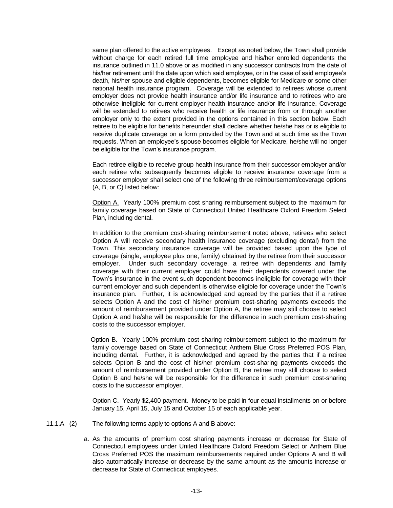same plan offered to the active employees. Except as noted below, the Town shall provide without charge for each retired full time employee and his/her enrolled dependents the insurance outlined in 11.0 above or as modified in any successor contracts from the date of his/her retirement until the date upon which said employee, or in the case of said employee's death, his/her spouse and eligible dependents, becomes eligible for Medicare or some other national health insurance program. Coverage will be extended to retirees whose current employer does not provide health insurance and/or life insurance and to retirees who are otherwise ineligible for current employer health insurance and/or life insurance. Coverage will be extended to retirees who receive health or life insurance from or through another employer only to the extent provided in the options contained in this section below. Each retiree to be eligible for benefits hereunder shall declare whether he/she has or is eligible to receive duplicate coverage on a form provided by the Town and at such time as the Town requests. When an employee's spouse becomes eligible for Medicare, he/she will no longer be eligible for the Town's insurance program.

Each retiree eligible to receive group health insurance from their successor employer and/or each retiree who subsequently becomes eligible to receive insurance coverage from a successor employer shall select one of the following three reimbursement/coverage options (A, B, or C) listed below:

Option A. Yearly 100% premium cost sharing reimbursement subject to the maximum for family coverage based on State of Connecticut United Healthcare Oxford Freedom Select Plan, including dental.

In addition to the premium cost-sharing reimbursement noted above, retirees who select Option A will receive secondary health insurance coverage (excluding dental) from the Town. This secondary insurance coverage will be provided based upon the type of coverage (single, employee plus one, family) obtained by the retiree from their successor employer. Under such secondary coverage, a retiree with dependents and family coverage with their current employer could have their dependents covered under the Town's insurance in the event such dependent becomes ineligible for coverage with their current employer and such dependent is otherwise eligible for coverage under the Town's insurance plan. Further, it is acknowledged and agreed by the parties that if a retiree selects Option A and the cost of his/her premium cost-sharing payments exceeds the amount of reimbursement provided under Option A, the retiree may still choose to select Option A and he/she will be responsible for the difference in such premium cost-sharing costs to the successor employer.

Option B. Yearly 100% premium cost sharing reimbursement subject to the maximum for family coverage based on State of Connecticut Anthem Blue Cross Preferred POS Plan, including dental. Further, it is acknowledged and agreed by the parties that if a retiree selects Option B and the cost of his/her premium cost-sharing payments exceeds the amount of reimbursement provided under Option B, the retiree may still choose to select Option B and he/she will be responsible for the difference in such premium cost-sharing costs to the successor employer.

Option C. Yearly \$2,400 payment. Money to be paid in four equal installments on or before January 15, April 15, July 15 and October 15 of each applicable year.

- 11.1.A (2) The following terms apply to options A and B above:
	- a. As the amounts of premium cost sharing payments increase or decrease for State of Connecticut employees under United Healthcare Oxford Freedom Select or Anthem Blue Cross Preferred POS the maximum reimbursements required under Options A and B will also automatically increase or decrease by the same amount as the amounts increase or decrease for State of Connecticut employees.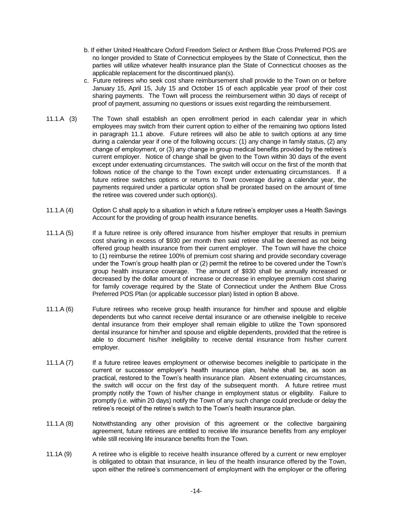- b. If either United Healthcare Oxford Freedom Select or Anthem Blue Cross Preferred POS are no longer provided to State of Connecticut employees by the State of Connecticut, then the parties will utilize whatever health insurance plan the State of Connecticut chooses as the applicable replacement for the discontinued plan(s).
- c. Future retirees who seek cost share reimbursement shall provide to the Town on or before January 15, April 15, July 15 and October 15 of each applicable year proof of their cost sharing payments. The Town will process the reimbursement within 30 days of receipt of proof of payment, assuming no questions or issues exist regarding the reimbursement.
- 11.1.A (3) The Town shall establish an open enrollment period in each calendar year in which employees may switch from their current option to either of the remaining two options listed in paragraph 11.1 above. Future retirees will also be able to switch options at any time during a calendar year if one of the following occurs: (1) any change in family status, (2) any change of employment, or (3) any change in group medical benefits provided by the retiree's current employer. Notice of change shall be given to the Town within 30 days of the event except under extenuating circumstances. The switch will occur on the first of the month that follows notice of the change to the Town except under extenuating circumstances. If a future retiree switches options or returns to Town coverage during a calendar year, the payments required under a particular option shall be prorated based on the amount of time the retiree was covered under such option(s).
- 11.1.A (4) Option C shall apply to a situation in which a future retiree's employer uses a Health Savings Account for the providing of group health insurance benefits.
- 11.1.A (5) If a future retiree is only offered insurance from his/her employer that results in premium cost sharing in excess of \$930 per month then said retiree shall be deemed as not being offered group health insurance from their current employer. The Town will have the choice to (1) reimburse the retiree 100% of premium cost sharing and provide secondary coverage under the Town's group health plan or (2) permit the retiree to be covered under the Town's group health insurance coverage. The amount of \$930 shall be annually increased or decreased by the dollar amount of increase or decrease in employee premium cost sharing for family coverage required by the State of Connecticut under the Anthem Blue Cross Preferred POS Plan (or applicable successor plan) listed in option B above.
- 11.1.A (6) Future retirees who receive group health insurance for him/her and spouse and eligible dependents but who cannot receive dental insurance or are otherwise ineligible to receive dental insurance from their employer shall remain eligible to utilize the Town sponsored dental insurance for him/her and spouse and eligible dependents, provided that the retiree is able to document his/her ineligibility to receive dental insurance from his/her current employer.
- 11.1.A (7) If a future retiree leaves employment or otherwise becomes ineligible to participate in the current or successor employer's health insurance plan, he/she shall be, as soon as practical, restored to the Town's health insurance plan. Absent extenuating circumstances, the switch will occur on the first day of the subsequent month. A future retiree must promptly notify the Town of his/her change in employment status or eligibility. Failure to promptly (i.e. within 20 days) notify the Town of any such change could preclude or delay the retiree's receipt of the retiree's switch to the Town's health insurance plan.
- 11.1.A (8) Notwithstanding any other provision of this agreement or the collective bargaining agreement, future retirees are entitled to receive life insurance benefits from any employer while still receiving life insurance benefits from the Town.
- 11.1A (9) A retiree who is eligible to receive health insurance offered by a current or new employer is obligated to obtain that insurance, in lieu of the health insurance offered by the Town, upon either the retiree's commencement of employment with the employer or the offering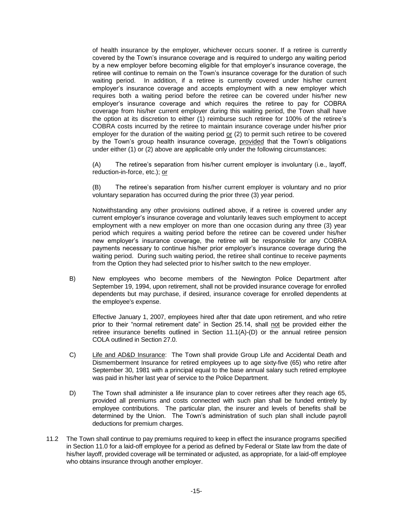of health insurance by the employer, whichever occurs sooner. If a retiree is currently covered by the Town's insurance coverage and is required to undergo any waiting period by a new employer before becoming eligible for that employer's insurance coverage, the retiree will continue to remain on the Town's insurance coverage for the duration of such waiting period. In addition, if a retiree is currently covered under his/her current employer's insurance coverage and accepts employment with a new employer which requires both a waiting period before the retiree can be covered under his/her new employer's insurance coverage and which requires the retiree to pay for COBRA coverage from his/her current employer during this waiting period, the Town shall have the option at its discretion to either (1) reimburse such retiree for 100% of the retiree's COBRA costs incurred by the retiree to maintain insurance coverage under his/her prior employer for the duration of the waiting period  $or$  (2) to permit such retiree to be covered by the Town's group health insurance coverage, provided that the Town's obligations under either (1) or (2) above are applicable only under the following circumstances:

(A) The retiree's separation from his/her current employer is involuntary (i.e., layoff, reduction-in-force, etc.); or

(B) The retiree's separation from his/her current employer is voluntary and no prior voluntary separation has occurred during the prior three (3) year period.

Notwithstanding any other provisions outlined above, if a retiree is covered under any current employer's insurance coverage and voluntarily leaves such employment to accept employment with a new employer on more than one occasion during any three (3) year period which requires a waiting period before the retiree can be covered under his/her new employer's insurance coverage, the retiree will be responsible for any COBRA payments necessary to continue his/her prior employer's insurance coverage during the waiting period. During such waiting period, the retiree shall continue to receive payments from the Option they had selected prior to his/her switch to the new employer.

B) New employees who become members of the Newington Police Department after September 19, 1994, upon retirement, shall not be provided insurance coverage for enrolled dependents but may purchase, if desired, insurance coverage for enrolled dependents at the employee's expense.

Effective January 1, 2007, employees hired after that date upon retirement, and who retire prior to their "normal retirement date" in Section 25.14, shall not be provided either the retiree insurance benefits outlined in Section  $11.1(A)$ - $(D)$  or the annual retiree pension COLA outlined in Section 27.0.

- C) Life and AD&D Insurance: The Town shall provide Group Life and Accidental Death and Dismemberment Insurance for retired employees up to age sixty-five (65) who retire after September 30, 1981 with a principal equal to the base annual salary such retired employee was paid in his/her last year of service to the Police Department.
- D) The Town shall administer a life insurance plan to cover retirees after they reach age 65, provided all premiums and costs connected with such plan shall be funded entirely by employee contributions. The particular plan, the insurer and levels of benefits shall be determined by the Union. The Town's administration of such plan shall include payroll deductions for premium charges.
- 11.2 The Town shall continue to pay premiums required to keep in effect the insurance programs specified in Section 11.0 for a laid-off employee for a period as defined by Federal or State law from the date of his/her layoff, provided coverage will be terminated or adjusted, as appropriate, for a laid-off employee who obtains insurance through another employer.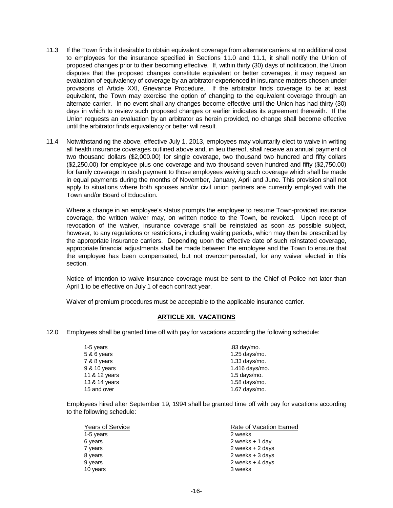- 11.3 If the Town finds it desirable to obtain equivalent coverage from alternate carriers at no additional cost to employees for the insurance specified in Sections 11.0 and 11.1, it shall notify the Union of proposed changes prior to their becoming effective. If, within thirty (30) days of notification, the Union disputes that the proposed changes constitute equivalent or better coverages, it may request an evaluation of equivalency of coverage by an arbitrator experienced in insurance matters chosen under provisions of Article XXI, Grievance Procedure. If the arbitrator finds coverage to be at least equivalent, the Town may exercise the option of changing to the equivalent coverage through an alternate carrier. In no event shall any changes become effective until the Union has had thirty (30) days in which to review such proposed changes or earlier indicates its agreement therewith. If the Union requests an evaluation by an arbitrator as herein provided, no change shall become effective until the arbitrator finds equivalency or better will result.
- 11.4 Notwithstanding the above, effective July 1, 2013, employees may voluntarily elect to waive in writing all health insurance coverages outlined above and, in lieu thereof, shall receive an annual payment of two thousand dollars (\$2,000.00) for single coverage, two thousand two hundred and fifty dollars (\$2,250.00) for employee plus one coverage and two thousand seven hundred and fifty (\$2,750.00) for family coverage in cash payment to those employees waiving such coverage which shall be made in equal payments during the months of November, January, April and June. This provision shall not apply to situations where both spouses and/or civil union partners are currently employed with the Town and/or Board of Education.

Where a change in an employee's status prompts the employee to resume Town-provided insurance coverage, the written waiver may, on written notice to the Town, be revoked. Upon receipt of revocation of the waiver, insurance coverage shall be reinstated as soon as possible subject, however, to any regulations or restrictions, including waiting periods, which may then be prescribed by the appropriate insurance carriers. Depending upon the effective date of such reinstated coverage, appropriate financial adjustments shall be made between the employee and the Town to ensure that the employee has been compensated, but not overcompensated, for any waiver elected in this section.

Notice of intention to waive insurance coverage must be sent to the Chief of Police not later than April 1 to be effective on July 1 of each contract year.

Waiver of premium procedures must be acceptable to the applicable insurance carrier.

#### **ARTICLE XII. VACATIONS**

12.0 Employees shall be granted time off with pay for vacations according the following schedule:

| 1-5 years     | .83 day/mo.      |
|---------------|------------------|
| 5 & 6 years   | $1.25$ days/mo.  |
| 7 & 8 years   | 1.33 days/mo.    |
| 9 & 10 years  | $1.416$ days/mo. |
| 11 & 12 years | $1.5$ days/mo.   |
| 13 & 14 years | $1.58$ days/mo.  |
| 15 and over   | 1.67 days/mo.    |
|               |                  |

Employees hired after September 19, 1994 shall be granted time off with pay for vacations according to the following schedule:

| <b>Years of Service</b> | Rate of Vacation Earned |  |
|-------------------------|-------------------------|--|
| 1-5 years               | 2 weeks                 |  |
| 6 years                 | 2 weeks $+1$ day        |  |
| 7 years                 | 2 weeks $+2$ days       |  |
| 8 years                 | 2 weeks $+3$ days       |  |
| 9 years                 | 2 weeks $+4$ days       |  |
| 10 years                | 3 weeks                 |  |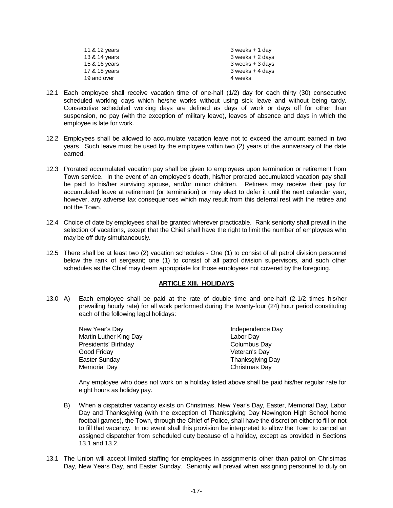| 11 & 12 years | $3$ weeks $+1$ day |
|---------------|--------------------|
| 13 & 14 years | 3 weeks + 2 days   |
| 15 & 16 years | 3 weeks + 3 days   |
| 17 & 18 years | 3 weeks + 4 days   |
| 19 and over   | 4 weeks            |

- 12.1 Each employee shall receive vacation time of one-half (1/2) day for each thirty (30) consecutive scheduled working days which he/she works without using sick leave and without being tardy. Consecutive scheduled working days are defined as days of work or days off for other than suspension, no pay (with the exception of military leave), leaves of absence and days in which the employee is late for work.
- 12.2 Employees shall be allowed to accumulate vacation leave not to exceed the amount earned in two years. Such leave must be used by the employee within two (2) years of the anniversary of the date earned.
- 12.3 Prorated accumulated vacation pay shall be given to employees upon termination or retirement from Town service. In the event of an employee's death, his/her prorated accumulated vacation pay shall be paid to his/her surviving spouse, and/or minor children. Retirees may receive their pay for accumulated leave at retirement (or termination) or may elect to defer it until the next calendar year; however, any adverse tax consequences which may result from this deferral rest with the retiree and not the Town.
- 12.4 Choice of date by employees shall be granted wherever practicable. Rank seniority shall prevail in the selection of vacations, except that the Chief shall have the right to limit the number of employees who may be off duty simultaneously.
- 12.5 There shall be at least two (2) vacation schedules One (1) to consist of all patrol division personnel below the rank of sergeant; one (1) to consist of all patrol division supervisors, and such other schedules as the Chief may deem appropriate for those employees not covered by the foregoing.

## **ARTICLE XIII. HOLIDAYS**

13.0 A) Each employee shall be paid at the rate of double time and one-half (2-1/2 times his/her prevailing hourly rate) for all work performed during the twenty-four (24) hour period constituting each of the following legal holidays:

| New Year's Day         | Independence Day |
|------------------------|------------------|
| Martin Luther King Day | Labor Day        |
| Presidents' Birthday   | Columbus Day     |
| Good Friday            | Veteran's Day    |
| Easter Sunday          | Thanksgiving Day |
| Memorial Day           | Christmas Day    |

Any employee who does not work on a holiday listed above shall be paid his/her regular rate for eight hours as holiday pay.

- B) When a dispatcher vacancy exists on Christmas, New Year's Day, Easter, Memorial Day, Labor Day and Thanksgiving (with the exception of Thanksgiving Day Newington High School home football games), the Town, through the Chief of Police, shall have the discretion either to fill or not to fill that vacancy. In no event shall this provision be interpreted to allow the Town to cancel an assigned dispatcher from scheduled duty because of a holiday, except as provided in Sections 13.1 and 13.2.
- 13.1 The Union will accept limited staffing for employees in assignments other than patrol on Christmas Day, New Years Day, and Easter Sunday. Seniority will prevail when assigning personnel to duty on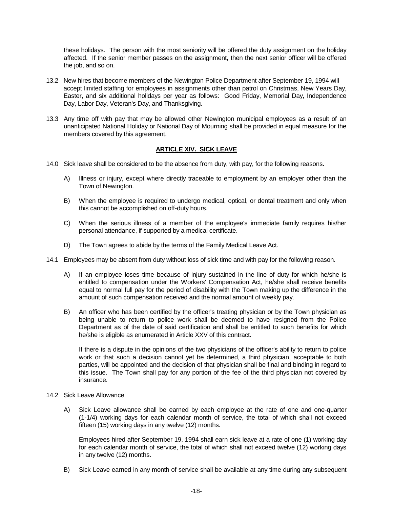these holidays. The person with the most seniority will be offered the duty assignment on the holiday affected. If the senior member passes on the assignment, then the next senior officer will be offered the job, and so on.

- 13.2 New hires that become members of the Newington Police Department after September 19, 1994 will accept limited staffing for employees in assignments other than patrol on Christmas, New Years Day, Easter, and six additional holidays per year as follows: Good Friday, Memorial Day, Independence Day, Labor Day, Veteran's Day, and Thanksgiving.
- 13.3 Any time off with pay that may be allowed other Newington municipal employees as a result of an unanticipated National Holiday or National Day of Mourning shall be provided in equal measure for the members covered by this agreement.

#### **ARTICLE XIV. SICK LEAVE**

- 14.0 Sick leave shall be considered to be the absence from duty, with pay, for the following reasons.
	- A) Illness or injury, except where directly traceable to employment by an employer other than the Town of Newington.
	- B) When the employee is required to undergo medical, optical, or dental treatment and only when this cannot be accomplished on off-duty hours.
	- C) When the serious illness of a member of the employee's immediate family requires his/her personal attendance, if supported by a medical certificate.
	- D) The Town agrees to abide by the terms of the Family Medical Leave Act.
- 14.1 Employees may be absent from duty without loss of sick time and with pay for the following reason.
	- A) If an employee loses time because of injury sustained in the line of duty for which he/she is entitled to compensation under the Workers' Compensation Act, he/she shall receive benefits equal to normal full pay for the period of disability with the Town making up the difference in the amount of such compensation received and the normal amount of weekly pay.
	- B) An officer who has been certified by the officer's treating physician or by the Town physician as being unable to return to police work shall be deemed to have resigned from the Police Department as of the date of said certification and shall be entitled to such benefits for which he/she is eligible as enumerated in Article XXV of this contract.

If there is a dispute in the opinions of the two physicians of the officer's ability to return to police work or that such a decision cannot yet be determined, a third physician, acceptable to both parties, will be appointed and the decision of that physician shall be final and binding in regard to this issue. The Town shall pay for any portion of the fee of the third physician not covered by insurance.

- 14.2 Sick Leave Allowance
	- A) Sick Leave allowance shall be earned by each employee at the rate of one and one-quarter (1-1/4) working days for each calendar month of service, the total of which shall not exceed fifteen (15) working days in any twelve (12) months.

Employees hired after September 19, 1994 shall earn sick leave at a rate of one (1) working day for each calendar month of service, the total of which shall not exceed twelve (12) working days in any twelve (12) months.

B) Sick Leave earned in any month of service shall be available at any time during any subsequent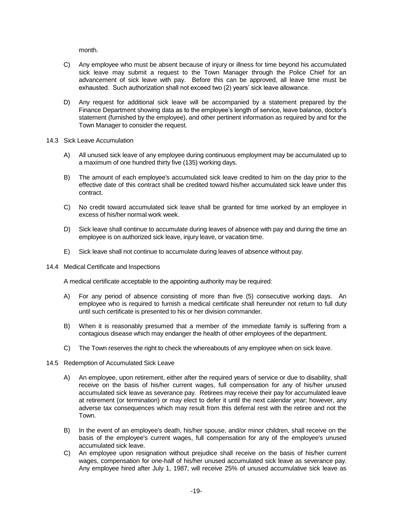month.

- C) Any employee who must be absent because of injury or illness for time beyond his accumulated sick leave may submit a request to the Town Manager through the Police Chief for an advancement of sick leave with pay. Before this can be approved, all leave time must be exhausted. Such authorization shall not exceed two (2) years' sick leave allowance.
- D) Any request for additional sick leave will be accompanied by a statement prepared by the Finance Department showing data as to the employee's length of service, leave balance, doctor's statement (furnished by the employee), and other pertinent information as required by and for the Town Manager to consider the request.
- 14.3 Sick Leave Accumulation
	- A) All unused sick leave of any employee during continuous employment may be accumulated up to a maximum of one hundred thirty five (135) working days.
	- B) The amount of each employee's accumulated sick leave credited to him on the day prior to the effective date of this contract shall be credited toward his/her accumulated sick leave under this contract.
	- C) No credit toward accumulated sick leave shall be granted for time worked by an employee in excess of his/her normal work week.
	- D) Sick leave shall continue to accumulate during leaves of absence with pay and during the time an employee is on authorized sick leave, injury leave, or vacation time.
	- E) Sick leave shall not continue to accumulate during leaves of absence without pay.
- 14.4 Medical Certificate and Inspections

A medical certificate acceptable to the appointing authority may be required:

- A) For any period of absence consisting of more than five (5) consecutive working days. An employee who is required to furnish a medical certificate shall hereunder not return to full duty until such certificate is presented to his or her division commander.
- B) When it is reasonably presumed that a member of the immediate family is suffering from a contagious disease which may endanger the health of other employees of the department.
- C) The Town reserves the right to check the whereabouts of any employee when on sick leave.
- 14.5 Redemption of Accumulated Sick Leave
	- A) An employee, upon retirement, either after the required years of service or due to disability, shall receive on the basis of his/her current wages, full compensation for any of his/her unused accumulated sick leave as severance pay. Retirees may receive their pay for accumulated leave at retirement (or termination) or may elect to defer it until the next calendar year; however, any adverse tax consequences which may result from this deferral rest with the retiree and not the Town.
	- B) In the event of an employee's death, his/her spouse, and/or minor children, shall receive on the basis of the employee's current wages, full compensation for any of the employee's unused accumulated sick leave.
	- C) An employee upon resignation without prejudice shall receive on the basis of his/her current wages, compensation for one-half of his/her unused accumulated sick leave as severance pay. Any employee hired after July 1, 1987, will receive 25% of unused accumulative sick leave as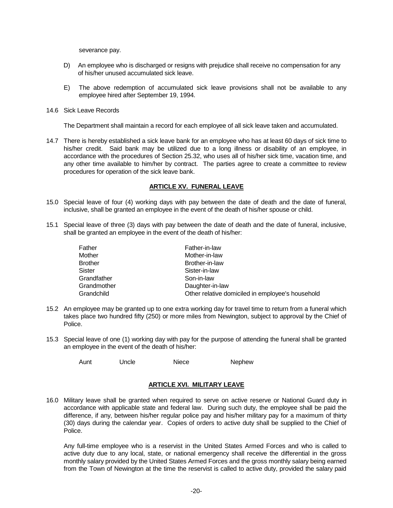severance pay.

- D) An employee who is discharged or resigns with prejudice shall receive no compensation for any of his/her unused accumulated sick leave.
- E) The above redemption of accumulated sick leave provisions shall not be available to any employee hired after September 19, 1994.
- 14.6 Sick Leave Records

The Department shall maintain a record for each employee of all sick leave taken and accumulated.

14.7 There is hereby established a sick leave bank for an employee who has at least 60 days of sick time to his/her credit. Said bank may be utilized due to a long illness or disability of an employee, in accordance with the procedures of Section 25.32, who uses all of his/her sick time, vacation time, and any other time available to him/her by contract. The parties agree to create a committee to review procedures for operation of the sick leave bank.

## **ARTICLE XV. FUNERAL LEAVE**

- 15.0 Special leave of four (4) working days with pay between the date of death and the date of funeral, inclusive, shall be granted an employee in the event of the death of his/her spouse or child.
- 15.1 Special leave of three (3) days with pay between the date of death and the date of funeral, inclusive, shall be granted an employee in the event of the death of his/her:

| Father         | Father-in-law                                    |
|----------------|--------------------------------------------------|
| Mother         | Mother-in-law                                    |
| <b>Brother</b> | Brother-in-law                                   |
| Sister         | Sister-in-law                                    |
| Grandfather    | Son-in-law                                       |
| Grandmother    | Daughter-in-law                                  |
| Grandchild     | Other relative domiciled in employee's household |

- 15.2 An employee may be granted up to one extra working day for travel time to return from a funeral which takes place two hundred fifty (250) or more miles from Newington, subject to approval by the Chief of Police.
- 15.3 Special leave of one (1) working day with pay for the purpose of attending the funeral shall be granted an employee in the event of the death of his/her:

Aunt Uncle Niece Nephew

## **ARTICLE XVI. MILITARY LEAVE**

16.0 Military leave shall be granted when required to serve on active reserve or National Guard duty in accordance with applicable state and federal law. During such duty, the employee shall be paid the difference, if any, between his/her regular police pay and his/her military pay for a maximum of thirty (30) days during the calendar year. Copies of orders to active duty shall be supplied to the Chief of Police.

Any full-time employee who is a reservist in the United States Armed Forces and who is called to active duty due to any local, state, or national emergency shall receive the differential in the gross monthly salary provided by the United States Armed Forces and the gross monthly salary being earned from the Town of Newington at the time the reservist is called to active duty, provided the salary paid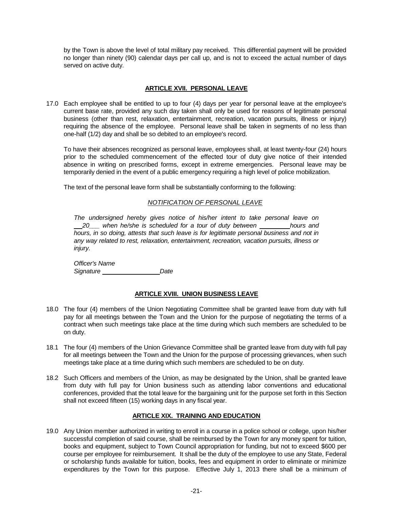by the Town is above the level of total military pay received. This differential payment will be provided no longer than ninety (90) calendar days per call up, and is not to exceed the actual number of days served on active duty.

## **ARTICLE XVII. PERSONAL LEAVE**

17.0 Each employee shall be entitled to up to four (4) days per year for personal leave at the employee's current base rate, provided any such day taken shall only be used for reasons of legitimate personal business (other than rest, relaxation, entertainment, recreation, vacation pursuits, illness or injury) requiring the absence of the employee. Personal leave shall be taken in segments of no less than one-half (1/2) day and shall be so debited to an employee's record.

To have their absences recognized as personal leave, employees shall, at least twenty-four (24) hours prior to the scheduled commencement of the effected tour of duty give notice of their intended absence in writing on prescribed forms, except in extreme emergencies. Personal leave may be temporarily denied in the event of a public emergency requiring a high level of police mobilization.

The text of the personal leave form shall be substantially conforming to the following:

## *NOTIFICATION OF PERSONAL LEAVE*

*The undersigned hereby gives notice of his/her intent to take personal leave on*  20 when he/she is scheduled for a tour of duty between \_\_\_\_\_\_\_\_\_hours and *hours, in so doing, attests that such leave is for legitimate personal business and not in any way related to rest, relaxation, entertainment, recreation, vacation pursuits, illness or injury.*

*Officer's Name Signature Date* 

#### **ARTICLE XVIII. UNION BUSINESS LEAVE**

- 18.0 The four (4) members of the Union Negotiating Committee shall be granted leave from duty with full pay for all meetings between the Town and the Union for the purpose of negotiating the terms of a contract when such meetings take place at the time during which such members are scheduled to be on duty.
- 18.1 The four (4) members of the Union Grievance Committee shall be granted leave from duty with full pay for all meetings between the Town and the Union for the purpose of processing grievances, when such meetings take place at a time during which such members are scheduled to be on duty.
- 18.2 Such Officers and members of the Union, as may be designated by the Union, shall be granted leave from duty with full pay for Union business such as attending labor conventions and educational conferences, provided that the total leave for the bargaining unit for the purpose set forth in this Section shall not exceed fifteen (15) working days in any fiscal year.

## **ARTICLE XIX. TRAINING AND EDUCATION**

19.0 Any Union member authorized in writing to enroll in a course in a police school or college, upon his/her successful completion of said course, shall be reimbursed by the Town for any money spent for tuition, books and equipment, subject to Town Council appropriation for funding, but not to exceed \$600 per course per employee for reimbursement. It shall be the duty of the employee to use any State, Federal or scholarship funds available for tuition, books, fees and equipment in order to eliminate or minimize expenditures by the Town for this purpose. Effective July 1, 2013 there shall be a minimum of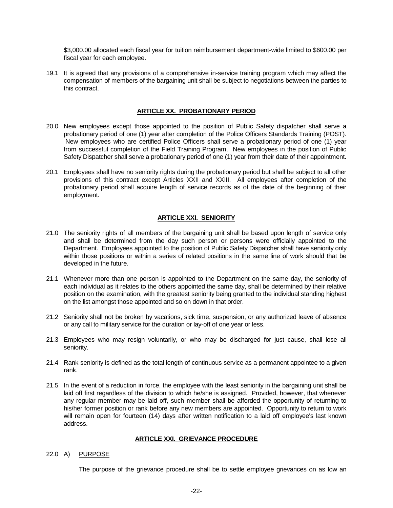\$3,000.00 allocated each fiscal year for tuition reimbursement department-wide limited to \$600.00 per fiscal year for each employee.

19.1 It is agreed that any provisions of a comprehensive in-service training program which may affect the compensation of members of the bargaining unit shall be subject to negotiations between the parties to this contract.

## **ARTICLE XX. PROBATIONARY PERIOD**

- 20.0 New employees except those appointed to the position of Public Safety dispatcher shall serve a probationary period of one (1) year after completion of the Police Officers Standards Training (POST). New employees who are certified Police Officers shall serve a probationary period of one (1) year from successful completion of the Field Training Program. New employees in the position of Public Safety Dispatcher shall serve a probationary period of one (1) year from their date of their appointment.
- 20.1 Employees shall have no seniority rights during the probationary period but shall be subject to all other provisions of this contract except Articles XXII and XXIII. All employees after completion of the probationary period shall acquire length of service records as of the date of the beginning of their employment.

## **ARTICLE XXI. SENIORITY**

- 21.0 The seniority rights of all members of the bargaining unit shall be based upon length of service only and shall be determined from the day such person or persons were officially appointed to the Department. Employees appointed to the position of Public Safety Dispatcher shall have seniority only within those positions or within a series of related positions in the same line of work should that be developed in the future.
- 21.1 Whenever more than one person is appointed to the Department on the same day, the seniority of each individual as it relates to the others appointed the same day, shall be determined by their relative position on the examination, with the greatest seniority being granted to the individual standing highest on the list amongst those appointed and so on down in that order.
- 21.2 Seniority shall not be broken by vacations, sick time, suspension, or any authorized leave of absence or any call to military service for the duration or lay-off of one year or less.
- 21.3 Employees who may resign voluntarily, or who may be discharged for just cause, shall lose all seniority.
- 21.4 Rank seniority is defined as the total length of continuous service as a permanent appointee to a given rank.
- 21.5 In the event of a reduction in force, the employee with the least seniority in the bargaining unit shall be laid off first regardless of the division to which he/she is assigned. Provided, however, that whenever any regular member may be laid off, such member shall be afforded the opportunity of returning to his/her former position or rank before any new members are appointed. Opportunity to return to work will remain open for fourteen (14) days after written notification to a laid off employee's last known address.

#### **ARTICLE XXI. GRIEVANCE PROCEDURE**

#### 22.0 A) PURPOSE

The purpose of the grievance procedure shall be to settle employee grievances on as low an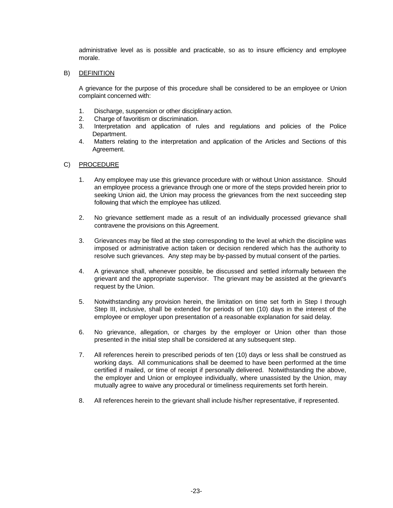administrative level as is possible and practicable, so as to insure efficiency and employee morale.

#### B) DEFINITION

A grievance for the purpose of this procedure shall be considered to be an employee or Union complaint concerned with:

- 1. Discharge, suspension or other disciplinary action.
- 2. Charge of favoritism or discrimination.
- 3. Interpretation and application of rules and regulations and policies of the Police Department.
- 4. Matters relating to the interpretation and application of the Articles and Sections of this Agreement.

## C) PROCEDURE

- 1. Any employee may use this grievance procedure with or without Union assistance. Should an employee process a grievance through one or more of the steps provided herein prior to seeking Union aid, the Union may process the grievances from the next succeeding step following that which the employee has utilized.
- 2. No grievance settlement made as a result of an individually processed grievance shall contravene the provisions on this Agreement.
- 3. Grievances may be filed at the step corresponding to the level at which the discipline was imposed or administrative action taken or decision rendered which has the authority to resolve such grievances. Any step may be by-passed by mutual consent of the parties.
- 4. A grievance shall, whenever possible, be discussed and settled informally between the grievant and the appropriate supervisor. The grievant may be assisted at the grievant's request by the Union.
- 5. Notwithstanding any provision herein, the limitation on time set forth in Step I through Step III, inclusive, shall be extended for periods of ten (10) days in the interest of the employee or employer upon presentation of a reasonable explanation for said delay.
- 6. No grievance, allegation, or charges by the employer or Union other than those presented in the initial step shall be considered at any subsequent step.
- 7. All references herein to prescribed periods of ten (10) days or less shall be construed as working days. All communications shall be deemed to have been performed at the time certified if mailed, or time of receipt if personally delivered. Notwithstanding the above, the employer and Union or employee individually, where unassisted by the Union, may mutually agree to waive any procedural or timeliness requirements set forth herein.
- 8. All references herein to the grievant shall include his/her representative, if represented.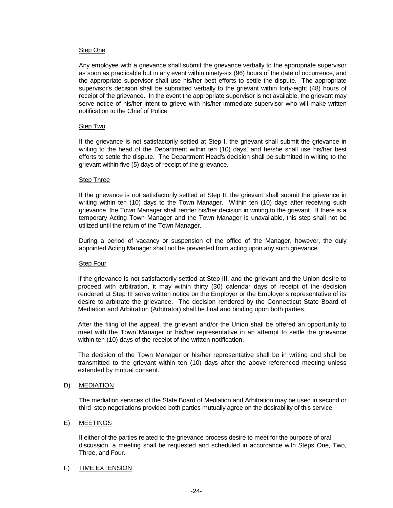#### Step One

Any employee with a grievance shall submit the grievance verbally to the appropriate supervisor as soon as practicable but in any event within ninety-six (96) hours of the date of occurrence, and the appropriate supervisor shall use his/her best efforts to settle the dispute. The appropriate supervisor's decision shall be submitted verbally to the grievant within forty-eight (48) hours of receipt of the grievance. In the event the appropriate supervisor is not available, the grievant may serve notice of his/her intent to grieve with his/her immediate supervisor who will make written notification to the Chief of Police

#### Step Two

If the grievance is not satisfactorily settled at Step I, the grievant shall submit the grievance in writing to the head of the Department within ten (10) days, and he/she shall use his/her best efforts to settle the dispute. The Department Head's decision shall be submitted in writing to the grievant within five (5) days of receipt of the grievance.

#### Step Three

If the grievance is not satisfactorily settled at Step II, the grievant shall submit the grievance in writing within ten (10) days to the Town Manager. Within ten (10) days after receiving such grievance, the Town Manager shall render his/her decision in writing to the grievant. If there is a temporary Acting Town Manager and the Town Manager is unavailable, this step shall not be utilized until the return of the Town Manager.

During a period of vacancy or suspension of the office of the Manager, however, the duly appointed Acting Manager shall not be prevented from acting upon any such grievance.

#### Step Four

If the grievance is not satisfactorily settled at Step III, and the grievant and the Union desire to proceed with arbitration, it may within thirty (30) calendar days of receipt of the decision rendered at Step III serve written notice on the Employer or the Employer's representative of its desire to arbitrate the grievance. The decision rendered by the Connecticut State Board of Mediation and Arbitration (Arbitrator) shall be final and binding upon both parties.

After the filing of the appeal, the grievant and/or the Union shall be offered an opportunity to meet with the Town Manager or his/her representative in an attempt to settle the grievance within ten (10) days of the receipt of the written notification.

The decision of the Town Manager or his/her representative shall be in writing and shall be transmitted to the grievant within ten (10) days after the above-referenced meeting unless extended by mutual consent.

#### D) MEDIATION

The mediation services of the State Board of Mediation and Arbitration may be used in second or third step negotiations provided both parties mutually agree on the desirability of this service.

#### E) MEETINGS

If either of the parties related to the grievance process desire to meet for the purpose of oral discussion, a meeting shall be requested and scheduled in accordance with Steps One, Two, Three, and Four.

#### F) TIME EXTENSION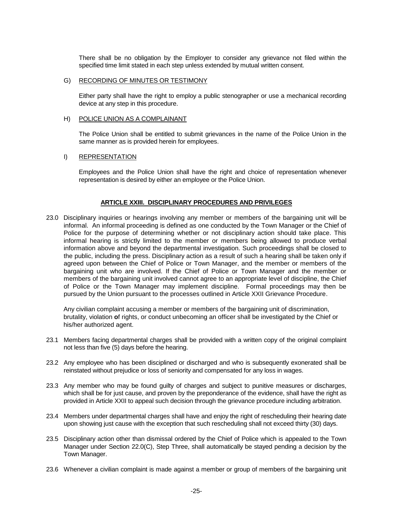There shall be no obligation by the Employer to consider any grievance not filed within the specified time limit stated in each step unless extended by mutual written consent.

#### G) RECORDING OF MINUTES OR TESTIMONY

Either party shall have the right to employ a public stenographer or use a mechanical recording device at any step in this procedure.

#### H) POLICE UNION AS A COMPLAINANT

The Police Union shall be entitled to submit grievances in the name of the Police Union in the same manner as is provided herein for employees.

#### I) REPRESENTATION

Employees and the Police Union shall have the right and choice of representation whenever representation is desired by either an employee or the Police Union.

## **ARTICLE XXIII. DISCIPLINARY PROCEDURES AND PRIVILEGES**

23.0 Disciplinary inquiries or hearings involving any member or members of the bargaining unit will be informal. An informal proceeding is defined as one conducted by the Town Manager or the Chief of Police for the purpose of determining whether or not disciplinary action should take place. This informal hearing is strictly limited to the member or members being allowed to produce verbal information above and beyond the departmental investigation. Such proceedings shall be closed to the public, including the press. Disciplinary action as a result of such a hearing shall be taken only if agreed upon between the Chief of Police or Town Manager, and the member or members of the bargaining unit who are involved. If the Chief of Police or Town Manager and the member or members of the bargaining unit involved cannot agree to an appropriate level of discipline, the Chief of Police or the Town Manager may implement discipline. Formal proceedings may then be pursued by the Union pursuant to the processes outlined in Article XXII Grievance Procedure.

Any civilian complaint accusing a member or members of the bargaining unit of discrimination, brutality, violation **o**f rights, or conduct unbecoming an officer shall be investigated by the Chief or his/her authorized agent.

- 23.1 Members facing departmental charges shall be provided with a written copy of the original complaint not less than five (5) days before the hearing.
- 23.2 Any employee who has been disciplined or discharged and who is subsequently exonerated shall be reinstated without prejudice or loss of seniority and compensated for any loss in wages.
- 23.3 Any member who may be found guilty of charges and subject to punitive measures or discharges, which shall be for just cause, and proven by the preponderance of the evidence, shall have the right as provided in Article XXII to appeal such decision through the grievance procedure including arbitration.
- 23.4 Members under departmental charges shall have and enjoy the right of rescheduling their hearing date upon showing just cause with the exception that such rescheduling shall not exceed thirty (30) days.
- 23.5 Disciplinary action other than dismissal ordered by the Chief of Police which is appealed to the Town Manager under Section 22.0(C), Step Three, shall automatically be stayed pending a decision by the Town Manager.
- 23.6 Whenever a civilian complaint is made against a member or group of members of the bargaining unit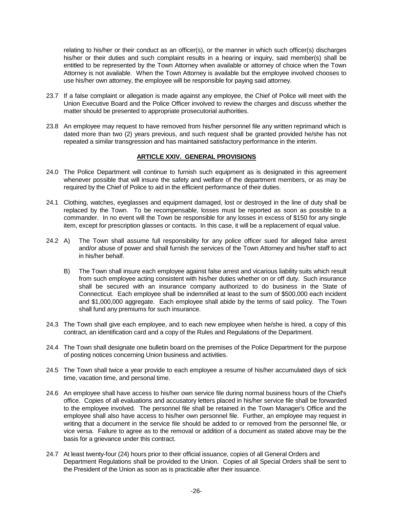relating to his/her or their conduct as an officer(s), or the manner in which such officer(s) discharges his/her or their duties and such complaint results in a hearing or inquiry, said member(s) shall be entitled to be represented by the Town Attorney when available or attorney of choice when the Town Attorney is not available. When the Town Attorney is available but the employee involved chooses to use his/her own attorney, the employee will be responsible for paying said attorney.

- 23.7 If a false complaint or allegation is made against any employee, the Chief of Police will meet with the Union Executive Board and the Police Officer involved to review the charges and discuss whether the matter should be presented to appropriate prosecutorial authorities.
- 23.8 An employee may request to have removed from his/her personnel file any written reprimand which is dated more than two (2) years previous, and such request shall be granted provided he/she has not repeated a similar transgression and has maintained satisfactory performance in the interim.

## **ARTICLE XXIV. GENERAL PROVISIONS**

- 24.0 The Police Department will continue to furnish such equipment as is designated in this agreement whenever possible that will insure the safety and welfare of the department members, or as may be required by the Chief of Police to aid in the efficient performance of their duties.
- 24.1 Clothing, watches, eyeglasses and equipment damaged, lost or destroyed in the line of duty shall be replaced by the Town. To be recompensable, losses must be reported as soon as possible to a commander. In no event will the Town be responsible for any losses in excess of \$150 for any single item, except for prescription glasses or contacts. In this case, it will be a replacement of equal value.
- 24.2 A) The Town shall assume full responsibility for any police officer sued for alleged false arrest and/or abuse of power and shall furnish the services of the Town Attorney and his/her staff to act in his/her behalf.
	- B) The Town shall insure each employee against false arrest and vicarious liability suits which result from such employee acting consistent with his/her duties whether on or off duty. Such insurance shall be secured with an insurance company authorized to do business in the State of Connecticut. Each employee shall be indemnified at least to the sum of \$500,000 each incident and \$1,000,000 aggregate. Each employee shall abide by the terms of said policy. The Town shall fund any premiums for such insurance.
- 24.3 The Town shall give each employee, and to each new employee when he/she is hired, a copy of this contract, an identification card and a copy of the Rules and Regulations of the Department.
- 24.4 The Town shall designate one bulletin board on the premises of the Police Department for the purpose of posting notices concerning Union business and activities.
- 24.5 The Town shall twice a year provide to each employee a resume of his/her accumulated days of sick time, vacation time, and personal time.
- 24.6 An employee shall have access to his/her own service file during normal business hours of the Chief's office. Copies of all evaluations and accusatory letters placed in his/her service file shall be forwarded to the employee involved. The personnel file shall be retained in the Town Manager's Office and the employee shall also have access to his/her own personnel file. Further, an employee may request in writing that a document in the service file should be added to or removed from the personnel file, or vice versa. Failure to agree as to the removal or addition of a document as stated above may be the basis for a grievance under this contract.
- 24.7 At least twenty-four (24) hours prior to their official issuance, copies of all General Orders and Department Regulations shall be provided to the Union. Copies of all Special Orders shall be sent to the President of the Union as soon as is practicable after their issuance.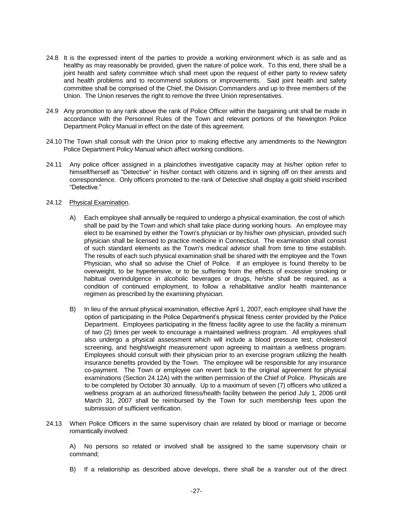- 24.8 It is the expressed intent of the parties to provide a working environment which is as safe and as healthy as may reasonably be provided, given the nature of police work. To this end, there shall be a joint health and safety committee which shall meet upon the request of either party to review safety and health problems and to recommend solutions or improvements. Said joint health and safety committee shall be comprised of the Chief, the Division Commanders and up to three members of the Union. The Union reserves the right to remove the three Union representatives.
- 24.9 Any promotion to any rank above the rank of Police Officer within the bargaining unit shall be made in accordance with the Personnel Rules of the Town and relevant portions of the Newington Police Department Policy Manual in effect on the date of this agreement.
- 24.10 The Town shall consult with the Union prior to making effective any amendments to the Newington Police Department Policy Manual which affect working conditions.
- 24.11 Any police officer assigned in a plainclothes investigative capacity may at his/her option refer to himself/herself as "Detective" in his/her contact with citizens and in signing off on their arrests and correspondence. Only officers promoted to the rank of Detective shall display a gold shield inscribed "Detective."
- 24.12 Physical Examination.
	- A) Each employee shall annually be required to undergo a physical examination, the cost of which shall be paid by the Town and which shall take place during working hours. An employee may elect to be examined by either the Town's physician or by his/her own physician, provided such physician shall be licensed to practice medicine in Connecticut. The examination shall consist of such standard elements as the Town's medical advisor shall from time to time establish. The results of each such physical examination shall be shared with the employee and the Town Physician, who shall so advise the Chief of Police. If an employee is found thereby to be overweight, to be hypertensive, or to be suffering from the effects of excessive smoking or habitual overindulgence in alcoholic beverages or drugs, he/she shall be required, as a condition of continued employment, to follow a rehabilitative and/or health maintenance regimen as prescribed by the examining physician.
	- B) In lieu of the annual physical examination, effective April 1, 2007, each employee shall have the option of participating in the Police Department's physical fitness center provided by the Police Department. Employees participating in the fitness facility agree to use the facility a minimum of two (2) times per week to encourage a maintained wellness program. All employees shall also undergo a physical assessment which will include a blood pressure test, cholesterol screening, and height/weight measurement upon agreeing to maintain a wellness program. Employees should consult with their physician prior to an exercise program utilizing the health insurance benefits provided by the Town. The employee will be responsible for any insurance co-payment. The Town or employee can revert back to the original agreement for physical examinations (Section 24.12A) with the written permission of the Chief of Police. Physicals are to be completed by October 30 annually. Up to a maximum of seven (7) officers who utilized a wellness program at an authorized fitness/health facility between the period July 1, 2006 until March 31, 2007 shall be reimbursed by the Town for such membership fees upon the submission of sufficient verification.
- 24.13 When Police Officers in the same supervisory chain are related by blood or marriage or become romantically involved:

A) No persons so related or involved shall be assigned to the same supervisory chain or command;

B) If a relationship as described above develops, there shall be a transfer out of the direct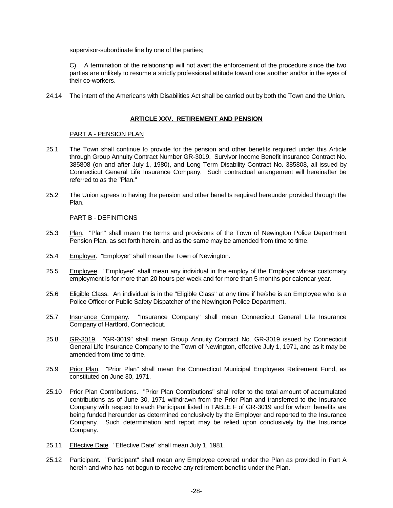supervisor-subordinate line by one of the parties;

C) A termination of the relationship will not avert the enforcement of the procedure since the two parties are unlikely to resume a strictly professional attitude toward one another and/or in the eyes of their co-workers.

24.14 The intent of the Americans with Disabilities Act shall be carried out by both the Town and the Union.

## **ARTICLE XXV. RETIREMENT AND PENSION**

## PART A - PENSION PLAN

- 25.1 The Town shall continue to provide for the pension and other benefits required under this Article through Group Annuity Contract Number GR-3019, Survivor Income Benefit Insurance Contract No. 385808 (on and after July 1, 1980), and Long Term Disability Contract No. 385808, all issued by Connecticut General Life Insurance Company. Such contractual arrangement will hereinafter be referred to as the "Plan."
- 25.2 The Union agrees to having the pension and other benefits required hereunder provided through the Plan.

## PART B - DEFINITIONS

- 25.3 Plan. "Plan" shall mean the terms and provisions of the Town of Newington Police Department Pension Plan, as set forth herein, and as the same may be amended from time to time.
- 25.4 Employer. "Employer" shall mean the Town of Newington.
- 25.5 Employee. "Employee" shall mean any individual in the employ of the Employer whose customary employment is for more than 20 hours per week and for more than 5 months per calendar year.
- 25.6 Eligible Class. An individual is in the "Eligible Class" at any time if he/she is an Employee who is a Police Officer or Public Safety Dispatcher of the Newington Police Department.
- 25.7 Insurance Company. "Insurance Company" shall mean Connecticut General Life Insurance Company of Hartford, Connecticut.
- 25.8 GR-3019. "GR-3019" shall mean Group Annuity Contract No. GR-3019 issued by Connecticut General Life Insurance Company to the Town of Newington, effective July 1, 1971, and as it may be amended from time to time.
- 25.9 Prior Plan. "Prior Plan" shall mean the Connecticut Municipal Employees Retirement Fund, as constituted on June 30, 1971.
- 25.10 Prior Plan Contributions. "Prior Plan Contributions" shall refer to the total amount of accumulated contributions as of June 30, 1971 withdrawn from the Prior Plan and transferred to the Insurance Company with respect to each Participant listed in TABLE F of GR-3019 and for whom benefits are being funded hereunder as determined conclusively by the Employer and reported to the Insurance Company. Such determination and report may be relied upon conclusively by the Insurance Company.
- 25.11 Effective Date. "Effective Date" shall mean July 1, 1981.
- 25.12 Participant. "Participant" shall mean any Employee covered under the Plan as provided in Part A herein and who has not begun to receive any retirement benefits under the Plan.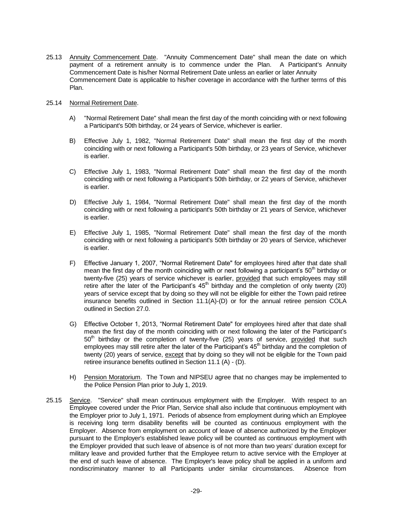25.13 Annuity Commencement Date. "Annuity Commencement Date" shall mean the date on which payment of a retirement annuity is to commence under the Plan. A Participant's Annuity Commencement Date is his/her Normal Retirement Date unless an earlier or later Annuity Commencement Date is applicable to his/her coverage in accordance with the further terms of this Plan.

#### 25.14 Normal Retirement Date.

- A) "Normal Retirement Date" shall mean the first day of the month coinciding with or next following a Participant's 50th birthday, or 24 years of Service, whichever is earlier.
- B) Effective July 1, 1982, "Normal Retirement Date" shall mean the first day of the month coinciding with or next following a Participant's 50th birthday, or 23 years of Service, whichever is earlier.
- C) Effective July 1, 1983, "Normal Retirement Date" shall mean the first day of the month coinciding with or next following a Participant's 50th birthday, or 22 years of Service, whichever is earlier.
- D) Effective July 1, 1984, "Normal Retirement Date" shall mean the first day of the month coinciding with or next following a participant's 50th birthday or 21 years of Service, whichever is earlier.
- E) Effective July 1, 1985, "Normal Retirement Date" shall mean the first day of the month coinciding with or next following a participant's 50th birthday or 20 years of Service, whichever is earlier.
- F) Effective January 1, 2007, "Normal Retirement Date" for employees hired after that date shall mean the first day of the month coinciding with or next following a participant's  $50<sup>th</sup>$  birthday or twenty-five (25) years of service whichever is earlier, provided that such employees may still retire after the later of the Participant's  $45<sup>th</sup>$  birthday and the completion of only twenty (20) years of service except that by doing so they will not be eligible for either the Town paid retiree insurance benefits outlined in Section 11.1(A)-(D) or for the annual retiree pension COLA outlined in Section 27.0.
- G) Effective October 1, 2013, "Normal Retirement Date" for employees hired after that date shall mean the first day of the month coinciding with or next following the later of the Participant's  $50<sup>th</sup>$  birthday or the completion of twenty-five (25) years of service, provided that such employees may still retire after the later of the Participant's 45<sup>th</sup> birthday and the completion of twenty (20) years of service, except that by doing so they will not be eligible for the Town paid retiree insurance benefits outlined in Section 11.1 (A) - (D).
- H) Pension Moratorium. The Town and NIPSEU agree that no changes may be implemented to the Police Pension Plan prior to July 1, 2019.
- 25.15 Service. "Service" shall mean continuous employment with the Employer. With respect to an Employee covered under the Prior Plan, Service shall also include that continuous employment with the Employer prior to July 1, 1971. Periods of absence from employment during which an Employee is receiving long term disability benefits will be counted as continuous employment with the Employer. Absence from employment on account of leave of absence authorized by the Employer pursuant to the Employer's established leave policy will be counted as continuous employment with the Employer provided that such leave of absence is of not more than two years' duration except for military leave and provided further that the Employee return to active service with the Employer at the end of such leave of absence. The Employer's leave policy shall be applied in a uniform and nondiscriminatory manner to all Participants under similar circumstances. Absence from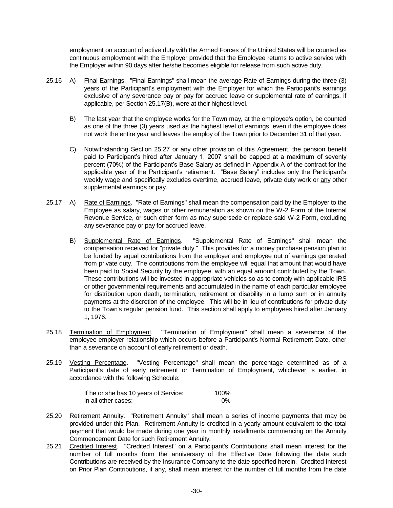employment on account of active duty with the Armed Forces of the United States will be counted as continuous employment with the Employer provided that the Employee returns to active service with the Employer within 90 days after he/she becomes eligible for release from such active duty.

- 25.16 A) Final Earnings. "Final Earnings" shall mean the average Rate of Earnings during the three (3) years of the Participant's employment with the Employer for which the Participant's earnings exclusive of any severance pay or pay for accrued leave or supplemental rate of earnings, if applicable, per Section 25.17(B), were at their highest level.
	- B) The last year that the employee works for the Town may, at the employee's option, be counted as one of the three (3) years used as the highest level of earnings, even if the employee does not work the entire year and leaves the employ of the Town prior to December 31 of that year.
	- C) Notwithstanding Section 25.27 or any other provision of this Agreement, the pension benefit paid to Participant's hired after January 1, 2007 shall be capped at a maximum of seventy percent (70%) of the Participant's Base Salary as defined in Appendix A of the contract for the applicable year of the Participant's retirement. "Base Salary" includes only the Participant's weekly wage and specifically excludes overtime, accrued leave, private duty work or any other supplemental earnings or pay.
- 25.17 A) Rate of Earnings. "Rate of Earnings" shall mean the compensation paid by the Employer to the Employee as salary, wages or other remuneration as shown on the W-2 Form of the Internal Revenue Service, or such other form as may supersede or replace said W-2 Form, excluding any severance pay or pay for accrued leave.
	- B) Supplemental Rate of Earnings. "Supplemental Rate of Earnings" shall mean the compensation received for "private duty." This provides for a money purchase pension plan to be funded by equal contributions from the employer and employee out of earnings generated from private duty. The contributions from the employee will equal that amount that would have been paid to Social Security by the employee, with an equal amount contributed by the Town. These contributions will be invested in appropriate vehicles so as to comply with applicable IRS or other governmental requirements and accumulated in the name of each particular employee for distribution upon death, termination, retirement or disability in a lump sum or in annuity payments at the discretion of the employee. This will be in lieu of contributions for private duty to the Town's regular pension fund. This section shall apply to employees hired after January 1, 1976.
- 25.18 Termination of Employment. "Termination of Employment" shall mean a severance of the employee-employer relationship which occurs before a Participant's Normal Retirement Date, other than a severance on account of early retirement or death.
- 25.19 Vesting Percentage. "Vesting Percentage" shall mean the percentage determined as of a Participant's date of early retirement or Termination of Employment, whichever is earlier, in accordance with the following Schedule:

| If he or she has 10 years of Service: | 100% |
|---------------------------------------|------|
| In all other cases:                   | 0%   |

- 25.20 Retirement Annuity. "Retirement Annuity" shall mean a series of income payments that may be provided under this Plan. Retirement Annuity is credited in a yearly amount equivalent to the total payment that would be made during one year in monthly installments commencing on the Annuity Commencement Date for such Retirement Annuity.
- 25.21 Credited Interest. "Credited Interest" on a Participant's Contributions shall mean interest for the number of full months from the anniversary of the Effective Date following the date such Contributions are received by the Insurance Company to the date specified herein. Credited Interest on Prior Plan Contributions, if any, shall mean interest for the number of full months from the date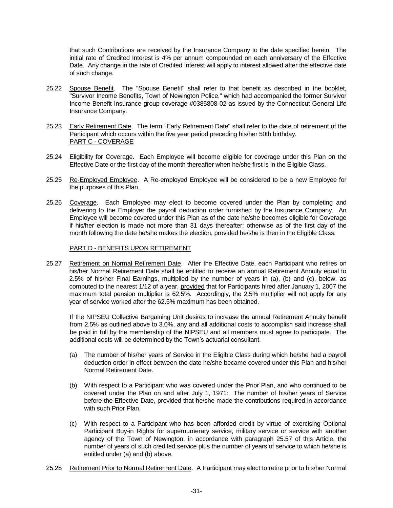that such Contributions are received by the Insurance Company to the date specified herein. The initial rate of Credited Interest is 4% per annum compounded on each anniversary of the Effective Date. Any change in the rate of Credited Interest will apply to interest allowed after the effective date of such change.

- 25.22 Spouse Benefit. The "Spouse Benefit" shall refer to that benefit as described in the booklet, "Survivor Income Benefits, Town of Newington Police," which had accompanied the former Survivor Income Benefit Insurance group coverage #0385808-02 as issued by the Connecticut General Life Insurance Company.
- 25.23 Early Retirement Date. The term "Early Retirement Date" shall refer to the date of retirement of the Participant which occurs within the five year period preceding his/her 50th birthday. PART C - COVERAGE
- 25.24 Eligibility for Coverage. Each Employee will become eligible for coverage under this Plan on the Effective Date or the first day of the month thereafter when he/she first is in the Eligible Class.
- 25.25 Re-Employed Employee. A Re-employed Employee will be considered to be a new Employee for the purposes of this Plan.
- 25.26 Coverage. Each Employee may elect to become covered under the Plan by completing and delivering to the Employer the payroll deduction order furnished by the Insurance Company. An Employee will become covered under this Plan as of the date he/she becomes eligible for Coverage if his/her election is made not more than 31 days thereafter; otherwise as of the first day of the month following the date he/she makes the election, provided he/she is then in the Eligible Class.

#### PART D - BENEFITS UPON RETIREMENT

25.27 Retirement on Normal Retirement Date. After the Effective Date, each Participant who retires on his/her Normal Retirement Date shall be entitled to receive an annual Retirement Annuity equal to 2.5% of his/her Final Earnings, multiplied by the number of years in (a), (b) and (c), below, as computed to the nearest 1/12 of a year, provided that for Participants hired after January 1, 2007 the maximum total pension multiplier is 62.5%. Accordingly, the 2.5% multiplier will not apply for any year of service worked after the 62.5% maximum has been obtained.

If the NIPSEU Collective Bargaining Unit desires to increase the annual Retirement Annuity benefit from 2.5% as outlined above to 3.0%, any and all additional costs to accomplish said increase shall be paid in full by the membership of the NIPSEU and all members must agree to participate. The additional costs will be determined by the Town's actuarial consultant.

- (a) The number of his/her years of Service in the Eligible Class during which he/she had a payroll deduction order in effect between the date he/she became covered under this Plan and his/her Normal Retirement Date.
- (b) With respect to a Participant who was covered under the Prior Plan, and who continued to be covered under the Plan on and after July 1, 1971: The number of his/her years of Service before the Effective Date, provided that he/she made the contributions required in accordance with such Prior Plan.
- (c) With respect to a Participant who has been afforded credit by virtue of exercising Optional Participant Buy-in Rights for supernumerary service, military service or service with another agency of the Town of Newington, in accordance with paragraph 25.57 of this Article, the number of years of such credited service plus the number of years of service to which he/she is entitled under (a) and (b) above.
- 25.28 Retirement Prior to Normal Retirement Date. A Participant may elect to retire prior to his/her Normal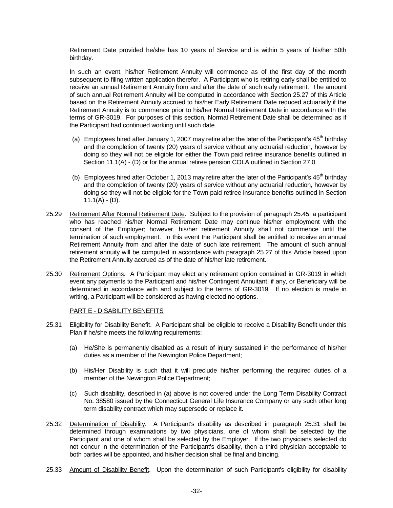Retirement Date provided he/she has 10 years of Service and is within 5 years of his/her 50th birthday.

In such an event, his/her Retirement Annuity will commence as of the first day of the month subsequent to filing written application therefor. A Participant who is retiring early shall be entitled to receive an annual Retirement Annuity from and after the date of such early retirement. The amount of such annual Retirement Annuity will be computed in accordance with Section 25.27 of this Article based on the Retirement Annuity accrued to his/her Early Retirement Date reduced actuarially if the Retirement Annuity is to commence prior to his/her Normal Retirement Date in accordance with the terms of GR-3019. For purposes of this section, Normal Retirement Date shall be determined as if the Participant had continued working until such date.

- (a) Employees hired after January 1, 2007 may retire after the later of the Participant's  $45<sup>th</sup>$  birthday and the completion of twenty (20) years of service without any actuarial reduction, however by doing so they will not be eligible for either the Town paid retiree insurance benefits outlined in Section 11.1(A) - (D) or for the annual retiree pension COLA outlined in Section 27.0.
- (b) Employees hired after October 1, 2013 may retire after the later of the Participant's  $45<sup>th</sup>$  birthday and the completion of twenty (20) years of service without any actuarial reduction, however by doing so they will not be eligible for the Town paid retiree insurance benefits outlined in Section  $11.1(A) - (D)$ .
- 25.29 Retirement After Normal Retirement Date. Subject to the provision of paragraph 25.45, a participant who has reached his/her Normal Retirement Date may continue his/her employment with the consent of the Employer; however, his/her retirement Annuity shall not commence until the termination of such employment. In this event the Participant shall be entitled to receive an annual Retirement Annuity from and after the date of such late retirement. The amount of such annual retirement annuity will be computed in accordance with paragraph 25.27 of this Article based upon the Retirement Annuity accrued as of the date of his/her late retirement.
- 25.30 Retirement Options. A Participant may elect any retirement option contained in GR-3019 in which event any payments to the Participant and his/her Contingent Annuitant, if any, or Beneficiary will be determined in accordance with and subject to the terms of GR-3019. If no election is made in writing, a Participant will be considered as having elected no options.

#### PART E - DISABILITY BENEFITS

- 25.31 Eligibility for Disability Benefit. A Participant shall be eligible to receive a Disability Benefit under this Plan if he/she meets the following requirements:
	- (a) He/She is permanently disabled as a result of injury sustained in the performance of his/her duties as a member of the Newington Police Department;
	- (b) His/Her Disability is such that it will preclude his/her performing the required duties of a member of the Newington Police Department;
	- (c) Such disability, described in (a) above is not covered under the Long Term Disability Contract No. 38580 issued by the Connecticut General Life Insurance Company or any such other long term disability contract which may supersede or replace it.
- 25.32 Determination of Disability. A Participant's disability as described in paragraph 25.31 shall be determined through examinations by two physicians, one of whom shall be selected by the Participant and one of whom shall be selected by the Employer. If the two physicians selected do not concur in the determination of the Participant's disability, then a third physician acceptable to both parties will be appointed, and his/her decision shall be final and binding.
- 25.33 Amount of Disability Benefit. Upon the determination of such Participant's eligibility for disability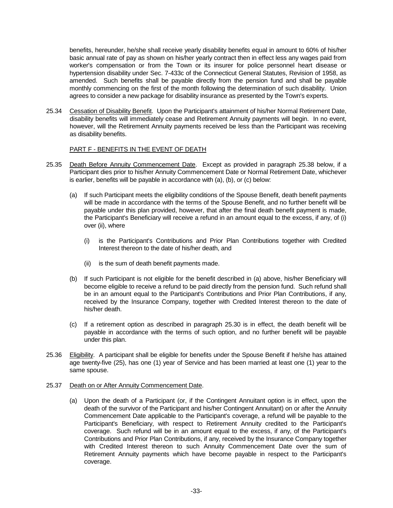benefits, hereunder, he/she shall receive yearly disability benefits equal in amount to 60% of his/her basic annual rate of pay as shown on his/her yearly contract then in effect less any wages paid from worker's compensation or from the Town or its insurer for police personnel heart disease or hypertension disability under Sec. 7-433c of the Connecticut General Statutes, Revision of 1958, as amended. Such benefits shall be payable directly from the pension fund and shall be payable monthly commencing on the first of the month following the determination of such disability. Union agrees to consider a new package for disability insurance as presented by the Town's experts.

25.34 Cessation of Disability Benefit. Upon the Participant's attainment of his/her Normal Retirement Date, disability benefits will immediately cease and Retirement Annuity payments will begin. In no event, however, will the Retirement Annuity payments received be less than the Participant was receiving as disability benefits.

#### PART F - BENEFITS IN THE EVENT OF DEATH

- 25.35 Death Before Annuity Commencement Date. Except as provided in paragraph 25.38 below, if a Participant dies prior to his/her Annuity Commencement Date or Normal Retirement Date, whichever is earlier, benefits will be payable in accordance with (a), (b), or (c) below:
	- (a) If such Participant meets the eligibility conditions of the Spouse Benefit, death benefit payments will be made in accordance with the terms of the Spouse Benefit, and no further benefit will be payable under this plan provided, however, that after the final death benefit payment is made, the Participant's Beneficiary will receive a refund in an amount equal to the excess, if any, of (i) over (ii), where
		- (i) is the Participant's Contributions and Prior Plan Contributions together with Credited Interest thereon to the date of his/her death, and
		- (ii) is the sum of death benefit payments made.
	- (b) If such Participant is not eligible for the benefit described in (a) above, his/her Beneficiary will become eligible to receive a refund to be paid directly from the pension fund. Such refund shall be in an amount equal to the Participant's Contributions and Prior Plan Contributions, if any, received by the Insurance Company, together with Credited Interest thereon to the date of his/her death.
	- (c) If a retirement option as described in paragraph 25.30 is in effect, the death benefit will be payable in accordance with the terms of such option, and no further benefit will be payable under this plan.
- 25.36 Eligibility. A participant shall be eligible for benefits under the Spouse Benefit if he/she has attained age twenty-five (25), has one (1) year of Service and has been married at least one (1) year to the same spouse.

#### 25.37 Death on or After Annuity Commencement Date.

(a) Upon the death of a Participant (or, if the Contingent Annuitant option is in effect, upon the death of the survivor of the Participant and his/her Contingent Annuitant) on or after the Annuity Commencement Date applicable to the Participant's coverage, a refund will be payable to the Participant's Beneficiary, with respect to Retirement Annuity credited to the Participant's coverage. Such refund will be in an amount equal to the excess, if any, of the Participant's Contributions and Prior Plan Contributions, if any, received by the Insurance Company together with Credited Interest thereon to such Annuity Commencement Date over the sum of Retirement Annuity payments which have become payable in respect to the Participant's coverage.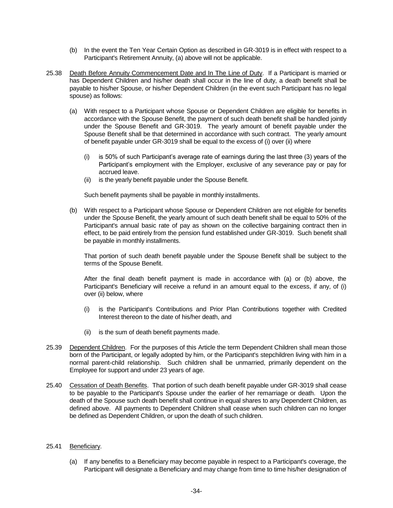- (b) In the event the Ten Year Certain Option as described in GR-3019 is in effect with respect to a Participant's Retirement Annuity, (a) above will not be applicable.
- 25.38 Death Before Annuity Commencement Date and In The Line of Duty. If a Participant is married or has Dependent Children and his/her death shall occur in the line of duty, a death benefit shall be payable to his/her Spouse, or his/her Dependent Children (in the event such Participant has no legal spouse) as follows:
	- (a) With respect to a Participant whose Spouse or Dependent Children are eligible for benefits in accordance with the Spouse Benefit, the payment of such death benefit shall be handled jointly under the Spouse Benefit and GR-3019. The yearly amount of benefit payable under the Spouse Benefit shall be that determined in accordance with such contract. The yearly amount of benefit payable under GR-3019 shall be equal to the excess of (i) over (ii) where
		- (i) is 50% of such Participant's average rate of earnings during the last three (3) years of the Participant's employment with the Employer, exclusive of any severance pay or pay for accrued leave.
		- (ii) is the yearly benefit payable under the Spouse Benefit.

Such benefit payments shall be payable in monthly installments.

(b) With respect to a Participant whose Spouse or Dependent Children are not eligible for benefits under the Spouse Benefit, the yearly amount of such death benefit shall be equal to 50% of the Participant's annual basic rate of pay as shown on the collective bargaining contract then in effect, to be paid entirely from the pension fund established under GR-3019. Such benefit shall be payable in monthly installments.

That portion of such death benefit payable under the Spouse Benefit shall be subject to the terms of the Spouse Benefit.

After the final death benefit payment is made in accordance with (a) or (b) above, the Participant's Beneficiary will receive a refund in an amount equal to the excess, if any, of (i) over (ii) below, where

- (i) is the Participant's Contributions and Prior Plan Contributions together with Credited Interest thereon to the date of his/her death, and
- (ii) is the sum of death benefit payments made.
- 25.39 Dependent Children. For the purposes of this Article the term Dependent Children shall mean those born of the Participant, or legally adopted by him, or the Participant's stepchildren living with him in a normal parent-child relationship. Such children shall be unmarried, primarily dependent on the Employee for support and under 23 years of age.
- 25.40 Cessation of Death Benefits. That portion of such death benefit payable under GR-3019 shall cease to be payable to the Participant's Spouse under the earlier of her remarriage or death. Upon the death of the Spouse such death benefit shall continue in equal shares to any Dependent Children, as defined above. All payments to Dependent Children shall cease when such children can no longer be defined as Dependent Children, or upon the death of such children.

#### 25.41 Beneficiary.

(a) If any benefits to a Beneficiary may become payable in respect to a Participant's coverage, the Participant will designate a Beneficiary and may change from time to time his/her designation of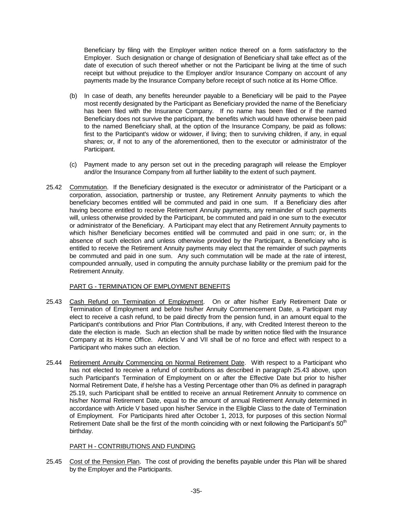Beneficiary by filing with the Employer written notice thereof on a form satisfactory to the Employer. Such designation or change of designation of Beneficiary shall take effect as of the date of execution of such thereof whether or not the Participant be living at the time of such receipt but without prejudice to the Employer and/or Insurance Company on account of any payments made by the Insurance Company before receipt of such notice at its Home Office.

- (b) In case of death, any benefits hereunder payable to a Beneficiary will be paid to the Payee most recently designated by the Participant as Beneficiary provided the name of the Beneficiary has been filed with the Insurance Company. If no name has been filed or if the named Beneficiary does not survive the participant, the benefits which would have otherwise been paid to the named Beneficiary shall, at the option of the Insurance Company, be paid as follows: first to the Participant's widow or widower, if living; then to surviving children, if any, in equal shares; or, if not to any of the aforementioned, then to the executor or administrator of the Participant.
- (c) Payment made to any person set out in the preceding paragraph will release the Employer and/or the Insurance Company from all further liability to the extent of such payment.
- 25.42 Commutation. If the Beneficiary designated is the executor or administrator of the Participant or a corporation, association, partnership or trustee, any Retirement Annuity payments to which the beneficiary becomes entitled will be commuted and paid in one sum. If a Beneficiary dies after having become entitled to receive Retirement Annuity payments, any remainder of such payments will, unless otherwise provided by the Participant, be commuted and paid in one sum to the executor or administrator of the Beneficiary. A Participant may elect that any Retirement Annuity payments to which his/her Beneficiary becomes entitled will be commuted and paid in one sum; or, in the absence of such election and unless otherwise provided by the Participant, a Beneficiary who is entitled to receive the Retirement Annuity payments may elect that the remainder of such payments be commuted and paid in one sum. Any such commutation will be made at the rate of interest, compounded annually, used in computing the annuity purchase liability or the premium paid for the Retirement Annuity.

## PART G - TERMINATION OF EMPLOYMENT BENEFITS

- 25.43 Cash Refund on Termination of Employment. On or after his/her Early Retirement Date or Termination of Employment and before his/her Annuity Commencement Date, a Participant may elect to receive a cash refund, to be paid directly from the pension fund, in an amount equal to the Participant's contributions and Prior Plan Contributions, if any, with Credited Interest thereon to the date the election is made. Such an election shall be made by written notice filed with the Insurance Company at its Home Office. Articles V and VII shall be of no force and effect with respect to a Participant who makes such an election.
- 25.44 Retirement Annuity Commencing on Normal Retirement Date. With respect to a Participant who has not elected to receive a refund of contributions as described in paragraph 25.43 above, upon such Participant's Termination of Employment on or after the Effective Date but prior to his/her Normal Retirement Date, if he/she has a Vesting Percentage other than 0% as defined in paragraph 25.19, such Participant shall be entitled to receive an annual Retirement Annuity to commence on his/her Normal Retirement Date, equal to the amount of annual Retirement Annuity determined in accordance with Article V based upon his/her Service in the Eligible Class to the date of Termination of Employment. For Participants hired after October 1, 2013, for purposes of this section Normal Retirement Date shall be the first of the month coinciding with or next following the Participant's  $50<sup>th</sup>$ birthday.

#### PART H - CONTRIBUTIONS AND FUNDING

25.45 Cost of the Pension Plan. The cost of providing the benefits payable under this Plan will be shared by the Employer and the Participants.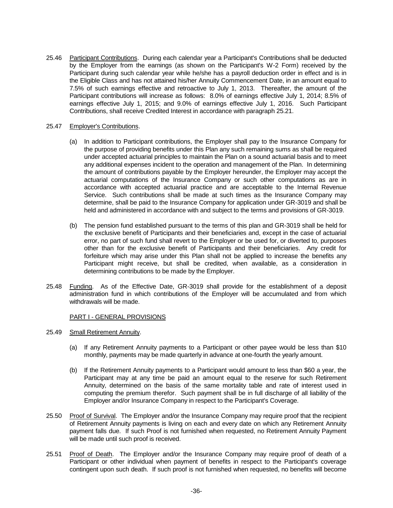25.46 Participant Contributions. During each calendar year a Participant's Contributions shall be deducted by the Employer from the earnings (as shown on the Participant's W-2 Form) received by the Participant during such calendar year while he/she has a payroll deduction order in effect and is in the Eligible Class and has not attained his/her Annuity Commencement Date, in an amount equal to 7.5% of such earnings effective and retroactive to July 1, 2013. Thereafter, the amount of the Participant contributions will increase as follows: 8.0% of earnings effective July 1, 2014; 8.5% of earnings effective July 1, 2015; and 9.0% of earnings effective July 1, 2016. Such Participant Contributions, shall receive Credited Interest in accordance with paragraph 25.21.

#### 25.47 Employer's Contributions.

- (a) In addition to Participant contributions, the Employer shall pay to the Insurance Company for the purpose of providing benefits under this Plan any such remaining sums as shall be required under accepted actuarial principles to maintain the Plan on a sound actuarial basis and to meet any additional expenses incident to the operation and management of the Plan. In determining the amount of contributions payable by the Employer hereunder, the Employer may accept the actuarial computations of the Insurance Company or such other computations as are in accordance with accepted actuarial practice and are acceptable to the Internal Revenue Service. Such contributions shall be made at such times as the Insurance Company may determine, shall be paid to the Insurance Company for application under GR-3019 and shall be held and administered in accordance with and subject to the terms and provisions of GR-3019.
- (b) The pension fund established pursuant to the terms of this plan and GR-3019 shall be held for the exclusive benefit of Participants and their beneficiaries and, except in the case of actuarial error, no part of such fund shall revert to the Employer or be used for, or diverted to, purposes other than for the exclusive benefit of Participants and their beneficiaries. Any credit for forfeiture which may arise under this Plan shall not be applied to increase the benefits any Participant might receive, but shall be credited, when available, as a consideration in determining contributions to be made by the Employer.
- 25.48 Funding. As of the Effective Date, GR-3019 shall provide for the establishment of a deposit administration fund in which contributions of the Employer will be accumulated and from which withdrawals will be made.

#### PART I - GENERAL PROVISIONS

- 25.49 Small Retirement Annuity.
	- (a) If any Retirement Annuity payments to a Participant or other payee would be less than \$10 monthly, payments may be made quarterly in advance at one-fourth the yearly amount.
	- (b) If the Retirement Annuity payments to a Participant would amount to less than \$60 a year, the Participant may at any time be paid an amount equal to the reserve for such Retirement Annuity, determined on the basis of the same mortality table and rate of interest used in computing the premium therefor. Such payment shall be in full discharge of all liability of the Employer and/or Insurance Company in respect to the Participant's Coverage.
- 25.50 Proof of Survival. The Employer and/or the Insurance Company may require proof that the recipient of Retirement Annuity payments is living on each and every date on which any Retirement Annuity payment falls due. If such Proof is not furnished when requested, no Retirement Annuity Payment will be made until such proof is received.
- 25.51 Proof of Death. The Employer and/or the Insurance Company may require proof of death of a Participant or other individual when payment of benefits in respect to the Participant's coverage contingent upon such death. If such proof is not furnished when requested, no benefits will become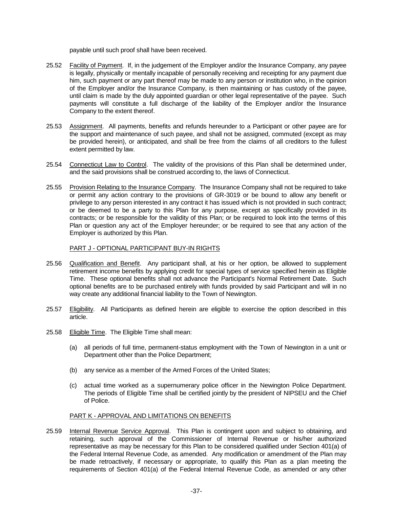payable until such proof shall have been received.

- 25.52 Facility of Payment. If, in the judgement of the Employer and/or the Insurance Company, any payee is legally, physically or mentally incapable of personally receiving and receipting for any payment due him, such payment or any part thereof may be made to any person or institution who, in the opinion of the Employer and/or the Insurance Company, is then maintaining or has custody of the payee, until claim is made by the duly appointed guardian or other legal representative of the payee. Such payments will constitute a full discharge of the liability of the Employer and/or the Insurance Company to the extent thereof.
- 25.53 Assignment. All payments, benefits and refunds hereunder to a Participant or other payee are for the support and maintenance of such payee, and shall not be assigned, commuted (except as may be provided herein), or anticipated, and shall be free from the claims of all creditors to the fullest extent permitted by law.
- 25.54 Connecticut Law to Control. The validity of the provisions of this Plan shall be determined under, and the said provisions shall be construed according to, the laws of Connecticut.
- 25.55 Provision Relating to the Insurance Company. The Insurance Company shall not be required to take or permit any action contrary to the provisions of GR-3019 or be bound to allow any benefit or privilege to any person interested in any contract it has issued which is not provided in such contract; or be deemed to be a party to this Plan for any purpose, except as specifically provided in its contracts; or be responsible for the validity of this Plan; or be required to look into the terms of this Plan or question any act of the Employer hereunder; or be required to see that any action of the Employer is authorized by this Plan.

## PART J - OPTIONAL PARTICIPANT BUY-IN RIGHTS

- 25.56 Qualification and Benefit. Any participant shall, at his or her option, be allowed to supplement retirement income benefits by applying credit for special types of service specified herein as Eligible Time. These optional benefits shall not advance the Participant's Normal Retirement Date. Such optional benefits are to be purchased entirely with funds provided by said Participant and will in no way create any additional financial liability to the Town of Newington.
- 25.57 Eligibility. All Participants as defined herein are eligible to exercise the option described in this article.
- 25.58 Eligible Time. The Eligible Time shall mean:
	- (a) all periods of full time, permanent-status employment with the Town of Newington in a unit or Department other than the Police Department;
	- (b) any service as a member of the Armed Forces of the United States;
	- (c) actual time worked as a supernumerary police officer in the Newington Police Department. The periods of Eligible Time shall be certified jointly by the president of NIPSEU and the Chief of Police.

## PART K - APPROVAL AND LIMITATIONS ON BENEFITS

25.59 Internal Revenue Service Approval. This Plan is contingent upon and subject to obtaining, and retaining, such approval of the Commissioner of Internal Revenue or his/her authorized representative as may be necessary for this Plan to be considered qualified under Section 401(a) of the Federal Internal Revenue Code, as amended. Any modification or amendment of the Plan may be made retroactively, if necessary or appropriate, to qualify this Plan as a plan meeting the requirements of Section 401(a) of the Federal Internal Revenue Code, as amended or any other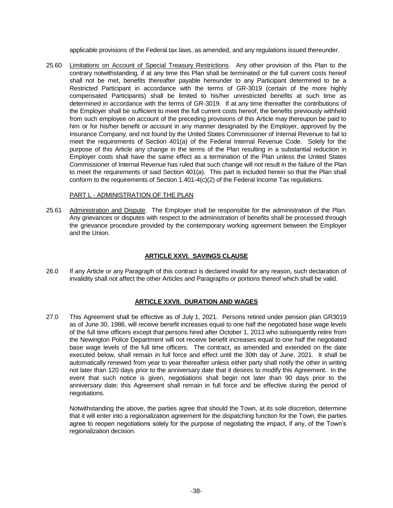applicable provisions of the Federal tax laws, as amended, and any regulations issued thereunder.

25.60 Limitations on Account of Special Treasury Restrictions. Any other provision of this Plan to the contrary notwithstanding, if at any time this Plan shall be terminated or the full current costs hereof shall not be met, benefits thereafter payable hereunder to any Participant determined to be a Restricted Participant in accordance with the terms of GR-3019 (certain of the more highly compensated Participants) shall be limited to his/her unrestricted benefits at such time as determined in accordance with the terms of GR-3019. If at any time thereafter the contributions of the Employer shall be sufficient to meet the full current costs hereof, the benefits previously withheld from such employee on account of the preceding provisions of this Article may thereupon be paid to him or for his/her benefit or account in any manner designated by the Employer, approved by the Insurance Company, and not found by the United States Commissioner of Internal Revenue to fail to meet the requirements of Section 401(a) of the Federal Internal Revenue Code. Solely for the purpose of this Article any change in the terms of the Plan resulting in a substantial reduction in Employer costs shall have the same effect as a termination of the Plan unless the United States Commissioner of Internal Revenue has ruled that such change will not result in the failure of the Plan to meet the requirements of said Section 401(a). This part is included herein so that the Plan shall conform to the requirements of Section 1.401-4(c)(2) of the Federal Income Tax regulations.

#### PART L - ADMINISTRATION OF THE PLAN

25.61 Administration and Dispute. The Employer shall be responsible for the administration of the Plan. Any grievances or disputes with respect to the administration of benefits shall be processed through the grievance procedure provided by the contemporary working agreement between the Employer and the Union.

## **ARTICLE XXVI. SAVINGS CLAUSE**

26.0 If any Article or any Paragraph of this contract is declared invalid for any reason, such declaration of invalidity shall not affect the other Articles and Paragraphs or portions thereof which shall be valid.

## **ARTICLE XXVII. DURATION AND WAGES**

27.0 This Agreement shall be effective as of July 1, 2021. Persons retired under pension plan GR3019 as of June 30, 1986, will receive benefit increases equal to one half the negotiated base wage levels of the full time officers except that persons hired after October 1, 2013 who subsequently retire from the Newington Police Department will not receive benefit increases equal to one half the negotiated base wage levels of the full time officers. The contract, as amended and extended on the date executed below, shall remain in full force and effect until the 30th day of June, 2021. It shall be automatically renewed from year to year thereafter unless either party shall notify the other in writing not later than 120 days prior to the anniversary date that it desires to modify this Agreement. In the event that such notice is given, negotiations shall begin not later than 90 days prior to the anniversary date; this Agreement shall remain in full force and be effective during the period of negotiations.

Notwithstanding the above, the parties agree that should the Town, at its sole discretion, determine that it will enter into a regionalization agreement for the dispatching function for the Town, the parties agree to reopen negotiations solely for the purpose of negotiating the impact, if any, of the Town's regionalization decision.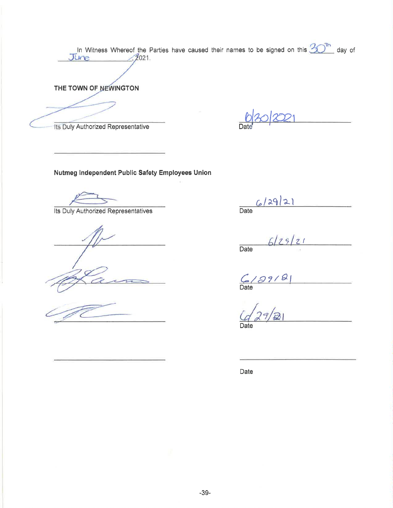In Witness Whereof the Parties have caused their names to be signed on this  $30^{\text{th}}$  day of June THE TOWN OF NEWINGTON

Its Duly Authorized Representative

Nutmeg Independent Public Safety Employees Union

Its Duly Authorized Representatives

 $6/29/21$  $\overline{Date}$ 

 $6|29|21$  $\overline{Date}$ 

 $\overline{\phantom{a}}$  $(2/99/8)$ 

Date

Date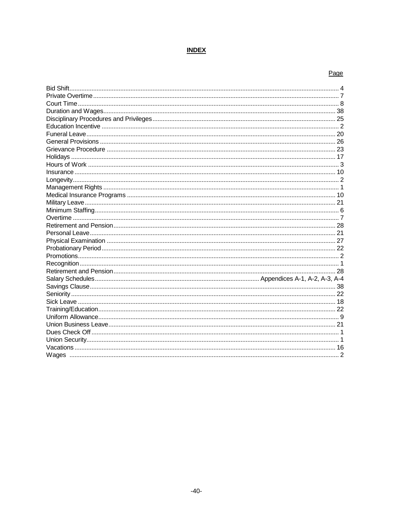## **INDEX**

## Page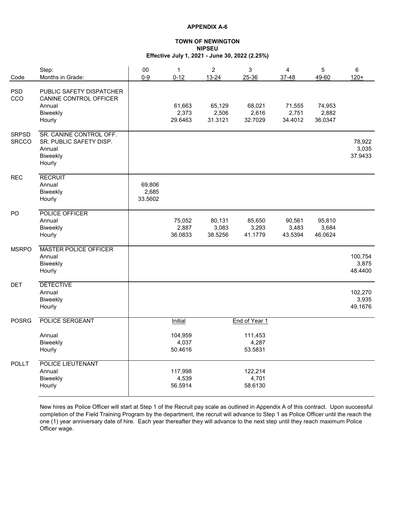#### **TOWN OF NEWINGTON NIPSEU Effective July 1, 2021 - June 30, 2022 (2.25%)**

| Code                         | Step:<br>Months in Grade:                                                          | 00<br>$0 - 9$              | $\mathbf 1$<br>$0 - 12$     | $\overline{c}$<br>$13 - 24$ | 3<br>25-36                  | $\overline{4}$<br>37-48    | 5<br>49-60                 | 6<br>$120+$                 |
|------------------------------|------------------------------------------------------------------------------------|----------------------------|-----------------------------|-----------------------------|-----------------------------|----------------------------|----------------------------|-----------------------------|
| <b>PSD</b><br>CCO            | PUBLIC SAFETY DISPATCHER<br>CANINE CONTROL OFFICER<br>Annual<br>Biweekly<br>Hourly |                            | 61,663<br>2,373<br>29.6463  | 65,129<br>2,506<br>31.3121  | 68,021<br>2,616<br>32.7029  | 71,555<br>2,751<br>34.4012 | 74,953<br>2,882<br>36.0347 |                             |
| <b>SRPSD</b><br><b>SRCCO</b> | SR. CANINE CONTROL OFF.<br>SR. PUBLIC SAFETY DISP.<br>Annual<br>Biweekly<br>Hourly |                            |                             |                             |                             |                            |                            | 78,922<br>3,035<br>37.9433  |
| <b>REC</b>                   | <b>RECRUIT</b><br>Annual<br>Biweekly<br>Hourly                                     | 69,806<br>2,685<br>33.5602 |                             |                             |                             |                            |                            |                             |
| PO                           | POLICE OFFICER<br>Annual<br>Biweekly<br>Hourly                                     |                            | 75,052<br>2,887<br>36.0833  | 80,131<br>3,083<br>38.5256  | 85,650<br>3,293<br>41.1779  | 90,561<br>3,483<br>43.5394 | 95,810<br>3,684<br>46.0624 |                             |
| <b>MSRPO</b>                 | <b>MASTER POLICE OFFICER</b><br>Annual<br>Biweekly<br>Hourly                       |                            |                             |                             |                             |                            |                            | 100,754<br>3,875<br>48.4400 |
| <b>DET</b>                   | <b>DETECTIVE</b><br>Annual<br>Biweekly<br>Hourly                                   |                            |                             |                             |                             |                            |                            | 102,270<br>3,935<br>49.1676 |
| <b>POSRG</b>                 | <b>POLICE SERGEANT</b>                                                             |                            | Initial                     |                             | End of Year 1               |                            |                            |                             |
|                              | Annual<br>Biweekly<br>Hourly                                                       |                            | 104,959<br>4,037<br>50.4616 |                             | 111,453<br>4,287<br>53.5831 |                            |                            |                             |
| <b>POLLT</b>                 | POLICE LIEUTENANT<br>Annual<br>Biweekly<br>Hourly                                  |                            | 117,998<br>4,539<br>56.5914 |                             | 122,214<br>4,701<br>58.6130 |                            |                            |                             |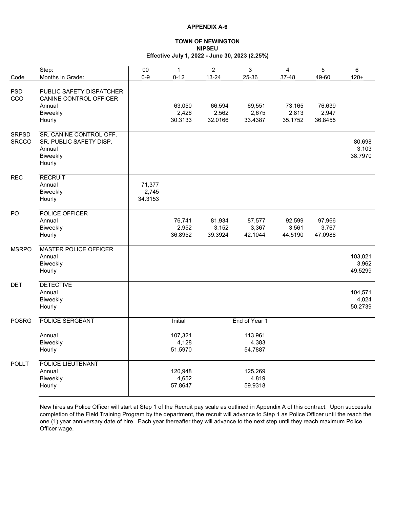#### **TOWN OF NEWINGTON NIPSEU Effective July 1, 2022 - June 30, 2023 (2.25%)**

| Code                         | Step:<br>Months in Grade:                                                          | 00<br>$0 - 9$              | $\mathbf{1}$<br>$0 - 12$    | $\overline{c}$<br>13-24    | 3<br>25-36                  | $\overline{4}$<br>37-48    | 5<br>49-60                 | 6<br>$120 +$                |
|------------------------------|------------------------------------------------------------------------------------|----------------------------|-----------------------------|----------------------------|-----------------------------|----------------------------|----------------------------|-----------------------------|
| <b>PSD</b><br>CCO            | PUBLIC SAFETY DISPATCHER<br>CANINE CONTROL OFFICER<br>Annual<br>Biweekly<br>Hourly |                            | 63,050<br>2,426<br>30.3133  | 66,594<br>2,562<br>32.0166 | 69,551<br>2,675<br>33.4387  | 73,165<br>2,813<br>35.1752 | 76,639<br>2,947<br>36.8455 |                             |
| <b>SRPSD</b><br><b>SRCCO</b> | SR. CANINE CONTROL OFF.<br>SR. PUBLIC SAFETY DISP.<br>Annual<br>Biweekly<br>Hourly |                            |                             |                            |                             |                            |                            | 80,698<br>3,103<br>38.7970  |
| <b>REC</b>                   | <b>RECRUIT</b><br>Annual<br>Biweekly<br>Hourly                                     | 71,377<br>2,745<br>34.3153 |                             |                            |                             |                            |                            |                             |
| PO                           | POLICE OFFICER<br>Annual<br>Biweekly<br>Hourly                                     |                            | 76,741<br>2,952<br>36.8952  | 81,934<br>3,152<br>39.3924 | 87,577<br>3,367<br>42.1044  | 92,599<br>3,561<br>44.5190 | 97,966<br>3,767<br>47.0988 |                             |
| <b>MSRPO</b>                 | <b>MASTER POLICE OFFICER</b><br>Annual<br>Biweekly<br>Hourly                       |                            |                             |                            |                             |                            |                            | 103,021<br>3,962<br>49.5299 |
| <b>DET</b>                   | <b>DETECTIVE</b><br>Annual<br>Biweekly<br>Hourly                                   |                            |                             |                            |                             |                            |                            | 104,571<br>4,024<br>50.2739 |
| <b>POSRG</b>                 | <b>POLICE SERGEANT</b>                                                             |                            | <b>Initial</b>              |                            | End of Year 1               |                            |                            |                             |
|                              | Annual<br>Biweekly<br>Hourly                                                       |                            | 107,321<br>4,128<br>51.5970 |                            | 113,961<br>4,383<br>54.7887 |                            |                            |                             |
| <b>POLLT</b>                 | POLICE LIEUTENANT<br>Annual<br>Biweekly<br>Hourly                                  |                            | 120,948<br>4,652<br>57.8647 |                            | 125,269<br>4,819<br>59.9318 |                            |                            |                             |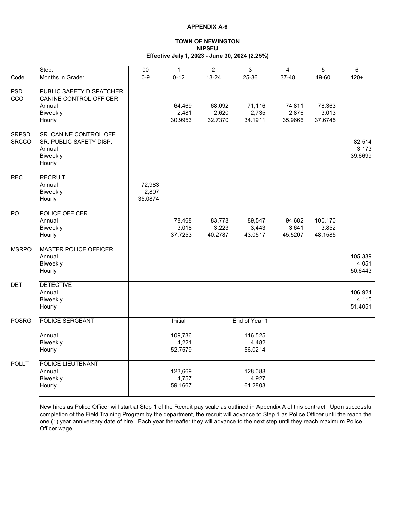#### **TOWN OF NEWINGTON NIPSEU Effective July 1, 2023 - June 30, 2024 (2.25%)**

| Code                         | Step:<br>Months in Grade:                                                          | 00<br>$0-9$                | $\mathbf{1}$<br>$0 - 12$    | $\overline{c}$<br>13-24    | 3<br>25-36                  | 4<br>37-48                 | 5<br>49-60                  | 6<br>$120 +$                |
|------------------------------|------------------------------------------------------------------------------------|----------------------------|-----------------------------|----------------------------|-----------------------------|----------------------------|-----------------------------|-----------------------------|
| <b>PSD</b><br>CCO            | PUBLIC SAFETY DISPATCHER<br>CANINE CONTROL OFFICER<br>Annual<br>Biweekly<br>Hourly |                            | 64,469<br>2,481<br>30.9953  | 68,092<br>2,620<br>32.7370 | 71,116<br>2,735<br>34.1911  | 74,811<br>2,876<br>35.9666 | 78,363<br>3,013<br>37.6745  |                             |
| <b>SRPSD</b><br><b>SRCCO</b> | SR. CANINE CONTROL OFF.<br>SR. PUBLIC SAFETY DISP.<br>Annual<br>Biweekly<br>Hourly |                            |                             |                            |                             |                            |                             | 82,514<br>3,173<br>39.6699  |
| <b>REC</b>                   | <b>RECRUIT</b><br>Annual<br>Biweekly<br>Hourly                                     | 72,983<br>2,807<br>35.0874 |                             |                            |                             |                            |                             |                             |
| PO                           | POLICE OFFICER<br>Annual<br>Biweekly<br>Hourly                                     |                            | 78,468<br>3,018<br>37.7253  | 83,778<br>3,223<br>40.2787 | 89,547<br>3,443<br>43.0517  | 94,682<br>3,641<br>45.5207 | 100,170<br>3,852<br>48.1585 |                             |
| <b>MSRPO</b>                 | <b>MASTER POLICE OFFICER</b><br>Annual<br>Biweekly<br>Hourly                       |                            |                             |                            |                             |                            |                             | 105,339<br>4,051<br>50.6443 |
| <b>DET</b>                   | <b>DETECTIVE</b><br>Annual<br>Biweekly<br>Hourly                                   |                            |                             |                            |                             |                            |                             | 106,924<br>4,115<br>51.4051 |
| <b>POSRG</b>                 | POLICE SERGEANT                                                                    |                            | Initial                     |                            | End of Year 1               |                            |                             |                             |
|                              | Annual<br>Biweekly<br>Hourly                                                       |                            | 109,736<br>4,221<br>52.7579 |                            | 116,525<br>4,482<br>56.0214 |                            |                             |                             |
| <b>POLLT</b>                 | <b>POLICE LIEUTENANT</b><br>Annual<br>Biweekly<br>Hourly                           |                            | 123,669<br>4,757<br>59.1667 |                            | 128,088<br>4,927<br>61.2803 |                            |                             |                             |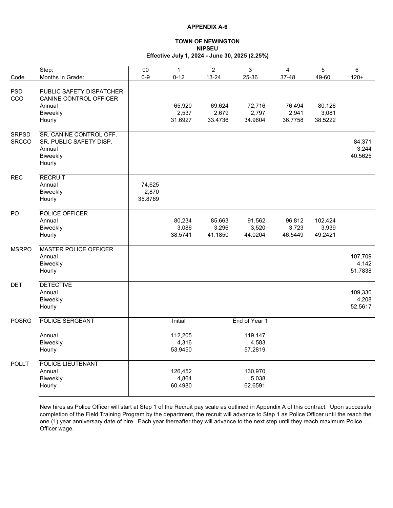#### **TOWN OF NEWINGTON NIPSEU Effective July 1, 2024 - June 30, 2025 (2.25%)**

| Code                         | Step:<br>Months in Grade:                                                          | 00<br>$0-9$                | $\mathbf{1}$<br>$0 - 12$    | $\overline{c}$<br>13-24    | 3<br>25-36                  | 4<br>37-48                 | 5<br>49-60                  | 6<br>$120 +$                |
|------------------------------|------------------------------------------------------------------------------------|----------------------------|-----------------------------|----------------------------|-----------------------------|----------------------------|-----------------------------|-----------------------------|
| <b>PSD</b><br>CCO            | PUBLIC SAFETY DISPATCHER<br>CANINE CONTROL OFFICER<br>Annual<br>Biweekly<br>Hourly |                            | 65,920<br>2,537<br>31.6927  | 69,624<br>2,679<br>33.4736 | 72,716<br>2,797<br>34.9604  | 76,494<br>2,941<br>36.7758 | 80,126<br>3,081<br>38.5222  |                             |
| <b>SRPSD</b><br><b>SRCCO</b> | SR. CANINE CONTROL OFF.<br>SR. PUBLIC SAFETY DISP.<br>Annual<br>Biweekly<br>Hourly |                            |                             |                            |                             |                            |                             | 84,371<br>3,244<br>40.5625  |
| <b>REC</b>                   | <b>RECRUIT</b><br>Annual<br>Biweekly<br>Hourly                                     | 74,625<br>2,870<br>35.8769 |                             |                            |                             |                            |                             |                             |
| PO                           | POLICE OFFICER<br>Annual<br>Biweekly<br>Hourly                                     |                            | 80,234<br>3,086<br>38.5741  | 85,663<br>3,296<br>41.1850 | 91,562<br>3,520<br>44.0204  | 96,812<br>3,723<br>46.5449 | 102,424<br>3,939<br>49.2421 |                             |
| <b>MSRPO</b>                 | <b>MASTER POLICE OFFICER</b><br>Annual<br>Biweekly<br>Hourly                       |                            |                             |                            |                             |                            |                             | 107,709<br>4,142<br>51.7838 |
| <b>DET</b>                   | <b>DETECTIVE</b><br>Annual<br>Biweekly<br>Hourly                                   |                            |                             |                            |                             |                            |                             | 109,330<br>4,208<br>52.5617 |
| <b>POSRG</b>                 | POLICE SERGEANT                                                                    |                            | Initial                     |                            | End of Year 1               |                            |                             |                             |
|                              | Annual<br>Biweekly<br>Hourly                                                       |                            | 112,205<br>4,316<br>53.9450 |                            | 119,147<br>4,583<br>57.2819 |                            |                             |                             |
| <b>POLLT</b>                 | <b>POLICE LIEUTENANT</b><br>Annual<br>Biweekly<br>Hourly                           |                            | 126,452<br>4,864<br>60.4980 |                            | 130,970<br>5,038<br>62.6591 |                            |                             |                             |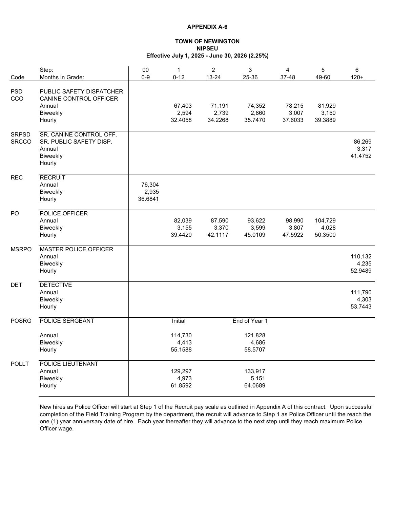#### **TOWN OF NEWINGTON NIPSEU Effective July 1, 2025 - June 30, 2026 (2.25%)**

| Code                         | Step:<br>Months in Grade:                                                          | $00\,$<br>$0-9$            | $\mathbf 1$<br>$0 - 12$     | $\overline{c}$<br>13-24    | 3<br>25-36                  | 4<br>37-48                 | 5<br>49-60                  | 6<br>$120 +$                |
|------------------------------|------------------------------------------------------------------------------------|----------------------------|-----------------------------|----------------------------|-----------------------------|----------------------------|-----------------------------|-----------------------------|
| <b>PSD</b><br>CCO            | PUBLIC SAFETY DISPATCHER<br>CANINE CONTROL OFFICER<br>Annual<br>Biweekly<br>Hourly |                            | 67,403<br>2,594<br>32.4058  | 71,191<br>2,739<br>34.2268 | 74,352<br>2,860<br>35.7470  | 78,215<br>3,007<br>37.6033 | 81,929<br>3,150<br>39.3889  |                             |
| <b>SRPSD</b><br><b>SRCCO</b> | SR. CANINE CONTROL OFF.<br>SR. PUBLIC SAFETY DISP.<br>Annual<br>Biweekly<br>Hourly |                            |                             |                            |                             |                            |                             | 86,269<br>3,317<br>41.4752  |
| <b>REC</b>                   | <b>RECRUIT</b><br>Annual<br>Biweekly<br>Hourly                                     | 76,304<br>2,935<br>36.6841 |                             |                            |                             |                            |                             |                             |
| PO                           | POLICE OFFICER<br>Annual<br>Biweekly<br>Hourly                                     |                            | 82,039<br>3,155<br>39.4420  | 87,590<br>3,370<br>42.1117 | 93,622<br>3,599<br>45.0109  | 98,990<br>3,807<br>47.5922 | 104,729<br>4,028<br>50.3500 |                             |
| <b>MSRPO</b>                 | <b>MASTER POLICE OFFICER</b><br>Annual<br>Biweekly<br>Hourly                       |                            |                             |                            |                             |                            |                             | 110,132<br>4,235<br>52.9489 |
| <b>DET</b>                   | <b>DETECTIVE</b><br>Annual<br>Biweekly<br>Hourly                                   |                            |                             |                            |                             |                            |                             | 111,790<br>4,303<br>53.7443 |
| <b>POSRG</b>                 | POLICE SERGEANT                                                                    |                            | Initial                     |                            | End of Year 1               |                            |                             |                             |
|                              | Annual<br>Biweekly<br>Hourly                                                       |                            | 114,730<br>4,413<br>55.1588 |                            | 121,828<br>4,686<br>58.5707 |                            |                             |                             |
| <b>POLLT</b>                 | <b>POLICE LIEUTENANT</b><br>Annual<br>Biweekly<br>Hourly                           |                            | 129,297<br>4,973<br>61.8592 |                            | 133,917<br>5,151<br>64.0689 |                            |                             |                             |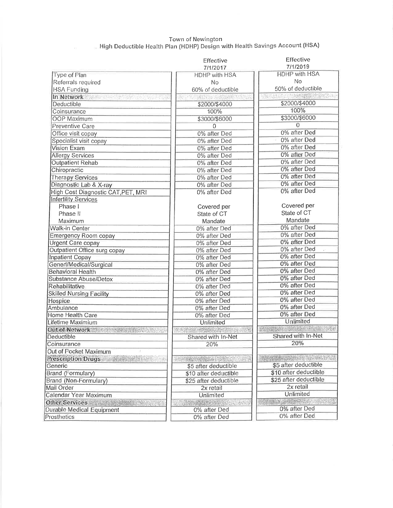# Town of Newington<br>High Deductible Health Plan (HDHP) Design with Health Savings Account (HSA).

|                                                     | Effective             | Effective                                |
|-----------------------------------------------------|-----------------------|------------------------------------------|
|                                                     | 7/1/2017              | 7/1/2019                                 |
| Type of Plan                                        | <b>HDHP with HSA</b>  | <b>HDHP with HSA</b>                     |
| Referrals required                                  | No                    | No                                       |
| <b>HSA Funding</b>                                  | 60% of deductible     | 50% of deductible                        |
| In Network and the company of the state             | 化合流试验 分裂消耗的人术         | <b>TACK SEARCH PORTS PER DESCRIPTION</b> |
| <b>Deductible</b>                                   | \$2000/\$4000         | \$2000/\$4000                            |
| Coinsurance                                         | 100%                  | 100%                                     |
| <b>OOP Maximum</b>                                  | \$3000/\$6000         | \$3000/\$6000                            |
| <b>Preventive Care</b>                              | $\mathbf 0$           | $\overline{0}$                           |
| Office visit copay                                  | 0% after Ded          | 0% after Ded                             |
| Specialist visit copay                              | 0% after Ded          | 0% after Ded                             |
| <b>Vision Exam</b>                                  | 0% after Ded          | 0% after Ded                             |
| <b>Allergy Services</b>                             | 0% after Ded          | 0% after Ded                             |
| <b>Outpatient Rehab</b>                             | 0% after Ded          | 0% after Ded                             |
| Chiropractic                                        | 0% after Ded          | 0% after Ded                             |
| <b>Therapy Services</b>                             | 0% after Ded          | 0% after Ded                             |
| Diagnostic Lab & X-ray                              | 0% after Ded          | 0% after Ded                             |
| High Cost Diagnostic CAT, PET, MRI                  | 0% after Ded          | 0% after Ded                             |
| <b>Infertility Services</b>                         |                       |                                          |
| Phase I                                             | Covered per           | Covered per                              |
| Phase II                                            | State of CT           | State of CT                              |
| Maximum                                             | Mandate               | Mandate                                  |
| Walk-in Center                                      | 0% after Ded          | 0% after Ded                             |
|                                                     |                       | 0% after Ded                             |
| Emergency Room copay                                | 0% after Ded          | 0% after Ded                             |
| <b>Urgent Care copay</b>                            | 0% after Ded          | 0% after Ded                             |
| Outpatient Office surg copay                        | 0% after Ded          | 0% after Ded                             |
| <b>Inpatient Copay</b>                              | 0% after Ded          | 0% after Ded                             |
| Generl/Medical/Surgical<br><b>Behavioral Health</b> | 0% after Ded          | 0% after Ded                             |
|                                                     | 0% after Ded          | 0% after Ded                             |
| Substance Abuse/Detox                               | 0% after Ded          | 0% after Ded                             |
| Rehabilitative                                      | 0% after Ded          | 0% after Ded                             |
| <b>Skilled Nursing Facility</b>                     | 0% after Ded          | 0% after Ded                             |
| Hospice                                             | 0% after Ded          | 0% after Ded                             |
| Ambulance                                           | 0% after Ded          | 0% after Ded                             |
| Home Health Care                                    | 0% after Ded          | Unlimited                                |
| Lifetime Maximium                                   | Unlimited             | WISCONSON, WAS LIKED                     |
| Out of Network and the state of                     |                       | Shared with In-Net                       |
| Deductible                                          | Shared with In-Net    |                                          |
| Coinsurance                                         | 20%                   | 20%                                      |
| Out of Pocket Maximum                               |                       |                                          |
| Prescription Drugs                                  |                       |                                          |
| Generic                                             | \$5 after deductible  | \$5 after deductible                     |
| Brand (Formulary)                                   | \$10 after deductible | \$10 after deductible                    |
| Brand (Non-Formulary)                               | \$25 after deductible | \$25 after deductible                    |
| Mail Order                                          | 2x retail             | 2x retail                                |
| Calendar Year Maximum                               | Unlimited             | Unlimited                                |
| Other Services and the both the                     | <b>新闻要要要求要求的人的人的人</b> | CONDOMICS OF S                           |
| Durable Medical Equipment                           | 0% after Ded          | 0% after Ded                             |
| Prosthetics                                         | 0% after Ded          | 0% after Ded                             |